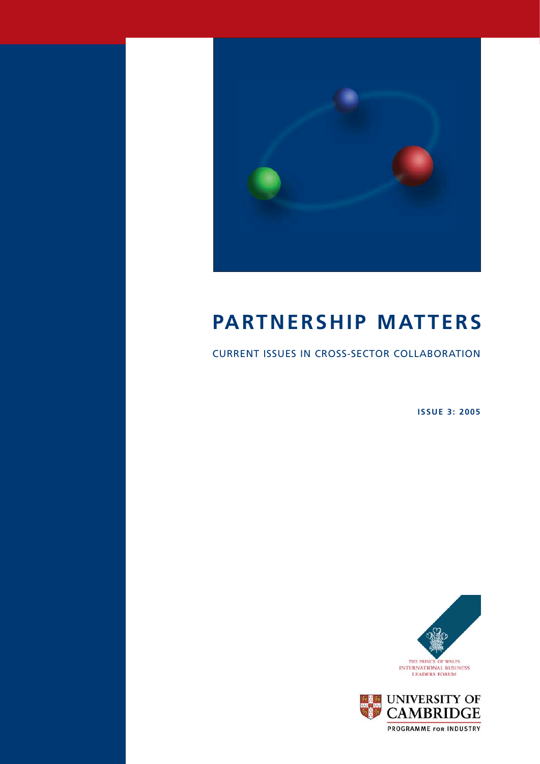

# **PARTNERSHIP MATTERS**

CURRENT ISSUES IN CROSS-SECTOR COLLABORATION

**ISSUE 3: 2005**



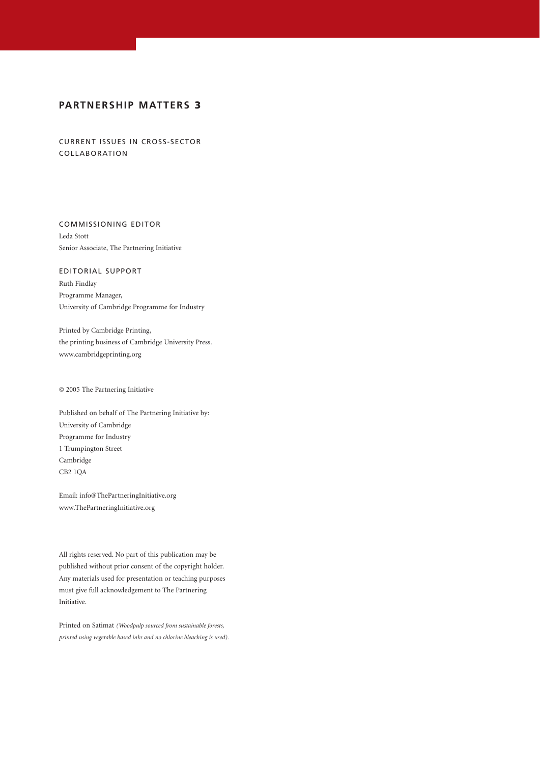## **PARTNERSHIP MATTERS 3**

CURRENT ISSUES IN CROSS-SECTOR COLLABORATION

COMMISSIONING EDITOR Leda Stott Senior Associate, The Partnering Initiative

EDITORIAL SUPPORT Ruth Findlay Programme Manager, University of Cambridge Programme for Industry

Printed by Cambridge Printing, the printing business of Cambridge University Press. www.cambridgeprinting.org

© 2005 The Partnering Initiative

Published on behalf of The Partnering Initiative by: University of Cambridge Programme for Industry 1 Trumpington Street Cambridge CB2 1QA

Email: info@ThePartneringInitiative.org www.ThePartneringInitiative.org

All rights reserved. No part of this publication may be published without prior consent of the copyright holder. Any materials used for presentation or teaching purposes must give full acknowledgement to The Partnering Initiative.

Printed on Satimat *(Woodpulp sourced from sustainable forests, printed using vegetable based inks and no chlorine bleaching is used).*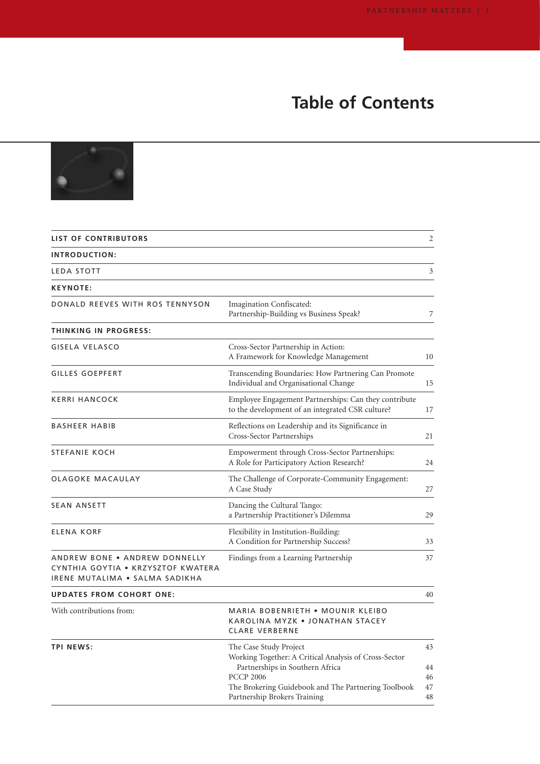# **Table of Contents**



| <b>LIST OF CONTRIBUTORS</b>                                                                           |                                                                                                                                                                                                                               | $\overline{2}$             |
|-------------------------------------------------------------------------------------------------------|-------------------------------------------------------------------------------------------------------------------------------------------------------------------------------------------------------------------------------|----------------------------|
| INTRODUCTION:                                                                                         |                                                                                                                                                                                                                               |                            |
| LEDA STOTT                                                                                            |                                                                                                                                                                                                                               | 3                          |
| <b>KEYNOTE:</b>                                                                                       |                                                                                                                                                                                                                               |                            |
| DONALD REEVES WITH ROS TENNYSON                                                                       | Imagination Confiscated:<br>Partnership-Building vs Business Speak?                                                                                                                                                           | 7                          |
| THINKING IN PROGRESS:                                                                                 |                                                                                                                                                                                                                               |                            |
| <b>GISELA VELASCO</b>                                                                                 | Cross-Sector Partnership in Action:<br>A Framework for Knowledge Management                                                                                                                                                   | 10                         |
| <b>GILLES GOEPFERT</b>                                                                                | Transcending Boundaries: How Partnering Can Promote<br>Individual and Organisational Change                                                                                                                                   | 15                         |
| KERRI HANCOCK                                                                                         | Employee Engagement Partnerships: Can they contribute<br>to the development of an integrated CSR culture?                                                                                                                     | 17                         |
| BASHEER HABIB                                                                                         | Reflections on Leadership and its Significance in<br>Cross-Sector Partnerships                                                                                                                                                | 21                         |
| STEFANIE KOCH                                                                                         | Empowerment through Cross-Sector Partnerships:<br>A Role for Participatory Action Research?                                                                                                                                   | 24                         |
| OLAGOKE MACAULAY                                                                                      | The Challenge of Corporate-Community Engagement:<br>A Case Study                                                                                                                                                              | 27                         |
| <b>SEAN ANSETT</b>                                                                                    | Dancing the Cultural Tango:<br>a Partnership Practitioner's Dilemma                                                                                                                                                           | 29                         |
| <b>ELENA KORF</b>                                                                                     | Flexibility in Institution-Building:<br>A Condition for Partnership Success?                                                                                                                                                  | 33                         |
| ANDREW BONE . ANDREW DONNELLY<br>CYNTHIA GOYTIA . KRZYSZTOF KWATERA<br>IRENE MUTALIMA . SALMA SADIKHA | Findings from a Learning Partnership                                                                                                                                                                                          | 37                         |
| <b>UPDATES FROM COHORT ONE:</b>                                                                       |                                                                                                                                                                                                                               | 40                         |
| With contributions from:                                                                              | MARIA BOBENRIETH • MOUNIR KLEIBO<br>KAROLINA MYZK . JONATHAN STACEY<br><b>CLARE VERBERNE</b>                                                                                                                                  |                            |
| <b>TPI NEWS:</b>                                                                                      | The Case Study Project<br>Working Together: A Critical Analysis of Cross-Sector<br>Partnerships in Southern Africa<br><b>PCCP 2006</b><br>The Brokering Guidebook and The Partnering Toolbook<br>Partnership Brokers Training | 43<br>44<br>46<br>47<br>48 |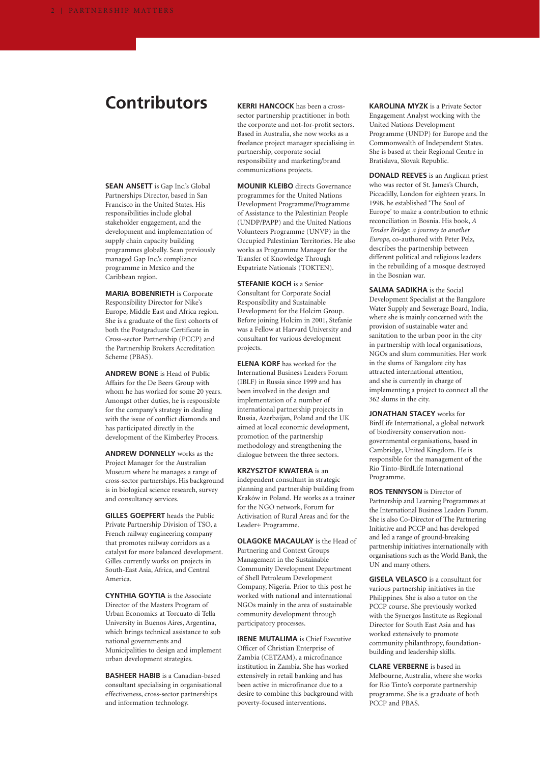## **Contributors**

**SEAN ANSETT** is Gap Inc.'s Global Partnerships Director, based in San Francisco in the United States. His responsibilities include global stakeholder engagement, and the development and implementation of supply chain capacity building programmes globally. Sean previously managed Gap Inc.'s compliance programme in Mexico and the Caribbean region.

**MARIA BOBENRIETH** is Corporate Responsibility Director for Nike's Europe, Middle East and Africa region. She is a graduate of the first cohorts of both the Postgraduate Certificate in Cross-sector Partnership (PCCP) and the Partnership Brokers Accreditation Scheme (PBAS).

**ANDREW BONE** is Head of Public Affairs for the De Beers Group with whom he has worked for some 20 years. Amongst other duties, he is responsible for the company's strategy in dealing with the issue of conflict diamonds and has participated directly in the development of the Kimberley Process.

**ANDREW DONNELLY** works as the Project Manager for the Australian Museum where he manages a range of cross-sector partnerships. His background is in biological science research, survey and consultancy services.

**GILLES GOEPFERT** heads the Public Private Partnership Division of TSO, a French railway engineering company that promotes railway corridors as a catalyst for more balanced development. Gilles currently works on projects in South-East Asia, Africa, and Central America.

**CYNTHIA GOYTIA** is the Associate Director of the Masters Program of Urban Economics at Torcuato di Tella University in Buenos Aires, Argentina, which brings technical assistance to sub national governments and Municipalities to design and implement urban development strategies.

**BASHEER HABIB** is a Canadian-based consultant specialising in organisational effectiveness, cross-sector partnerships and information technology.

**KERRI HANCOCK** has been a crosssector partnership practitioner in both the corporate and not-for-profit sectors. Based in Australia, she now works as a freelance project manager specialising in partnership, corporate social responsibility and marketing/brand communications projects.

**MOUNIR KLEIBO** directs Governance programmes for the United Nations Development Programme/Programme of Assistance to the Palestinian People (UNDP/PAPP) and the United Nations Volunteers Programme (UNVP) in the Occupied Palestinian Territories. He also works as Programme Manager for the Transfer of Knowledge Through Expatriate Nationals (TOKTEN).

**STEFANIE KOCH** is a Senior Consultant for Corporate Social Responsibility and Sustainable Development for the Holcim Group. Before joining Holcim in 2001, Stefanie was a Fellow at Harvard University and consultant for various development projects.

**ELENA KORF** has worked for the International Business Leaders Forum (IBLF) in Russia since 1999 and has been involved in the design and implementation of a number of international partnership projects in Russia, Azerbaijan, Poland and the UK aimed at local economic development, promotion of the partnership methodology and strengthening the dialogue between the three sectors.

**KRZYSZTOF KWATERA** is an independent consultant in strategic planning and partnership building from Kraków in Poland. He works as a trainer for the NGO network, Forum for Activisation of Rural Areas and for the Leader+ Programme.

**OLAGOKE MACAULAY** is the Head of Partnering and Context Groups Management in the Sustainable Community Development Department of Shell Petroleum Development Company, Nigeria. Prior to this post he worked with national and international NGOs mainly in the area of sustainable community development through participatory processes.

**IRENE MUTALIMA** is Chief Executive Officer of Christian Enterprise of Zambia (CETZAM), a microfinance institution in Zambia. She has worked extensively in retail banking and has been active in microfinance due to a desire to combine this background with poverty-focused interventions.

**KAROLINA MYZK** is a Private Sector Engagement Analyst working with the United Nations Development Programme (UNDP) for Europe and the Commonwealth of Independent States. She is based at their Regional Centre in Bratislava, Slovak Republic.

**DONALD REEVES** is an Anglican priest who was rector of St. James's Church, Piccadilly, London for eighteen years. In 1998, he established 'The Soul of Europe' to make a contribution to ethnic reconciliation in Bosnia. His book, *A Tender Bridge: a journey to another Europe*, co-authored with Peter Pelz, describes the partnership between different political and religious leaders in the rebuilding of a mosque destroyed in the Bosnian war.

**SALMA SADIKHA** is the Social Development Specialist at the Bangalore Water Supply and Sewerage Board, India, where she is mainly concerned with the provision of sustainable water and sanitation to the urban poor in the city in partnership with local organisations, NGOs and slum communities. Her work in the slums of Bangalore city has attracted international attention, and she is currently in charge of implementing a project to connect all the 362 slums in the city.

**JONATHAN STACEY** works for BirdLife International, a global network of biodiversity conservation nongovernmental organisations, based in Cambridge, United Kingdom. He is responsible for the management of the Rio Tinto-BirdLife International Programme.

**ROS TENNYSON** is Director of Partnership and Learning Programmes at the International Business Leaders Forum. She is also Co-Director of The Partnering Initiative and PCCP and has developed and led a range of ground-breaking partnership initiatives internationally with organisations such as the World Bank, the UN and many others.

**GISELA VELASCO** is a consultant for various partnership initiatives in the Philippines. She is also a tutor on the PCCP course. She previously worked with the Synergos Institute as Regional Director for South East Asia and has worked extensively to promote community philanthropy, foundationbuilding and leadership skills.

**CLARE VERBERNE** is based in Melbourne, Australia, where she works for Rio Tinto's corporate partnership programme. She is a graduate of both PCCP and PBAS.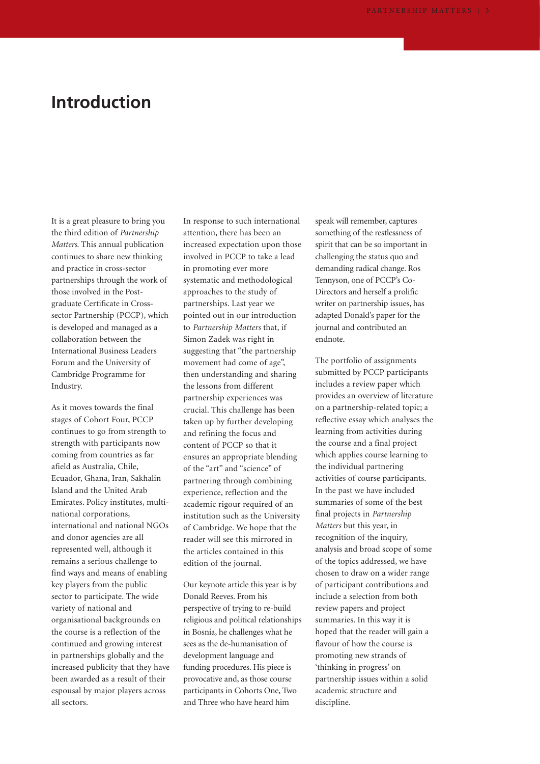## **Introduction**

It is a great pleasure to bring you the third edition of *Partnership Matters*. This annual publication continues to share new thinking and practice in cross-sector partnerships through the work of those involved in the Postgraduate Certificate in Crosssector Partnership (PCCP), which is developed and managed as a collaboration between the International Business Leaders Forum and the University of Cambridge Programme for Industry.

As it moves towards the final stages of Cohort Four, PCCP continues to go from strength to strength with participants now coming from countries as far afield as Australia, Chile, Ecuador, Ghana, Iran, Sakhalin Island and the United Arab Emirates. Policy institutes, multinational corporations, international and national NGOs and donor agencies are all represented well, although it remains a serious challenge to find ways and means of enabling key players from the public sector to participate. The wide variety of national and organisational backgrounds on the course is a reflection of the continued and growing interest in partnerships globally and the increased publicity that they have been awarded as a result of their espousal by major players across all sectors.

In response to such international attention, there has been an increased expectation upon those involved in PCCP to take a lead in promoting ever more systematic and methodological approaches to the study of partnerships. Last year we pointed out in our introduction to *Partnership Matters* that, if Simon Zadek was right in suggesting that "the partnership movement had come of age", then understanding and sharing the lessons from different partnership experiences was crucial. This challenge has been taken up by further developing and refining the focus and content of PCCP so that it ensures an appropriate blending of the "art" and "science" of partnering through combining experience, reflection and the academic rigour required of an institution such as the University of Cambridge. We hope that the reader will see this mirrored in the articles contained in this edition of the journal.

Our keynote article this year is by Donald Reeves. From his perspective of trying to re-build religious and political relationships in Bosnia, he challenges what he sees as the de-humanisation of development language and funding procedures. His piece is provocative and, as those course participants in Cohorts One, Two and Three who have heard him

speak will remember, captures something of the restlessness of spirit that can be so important in challenging the status quo and demanding radical change. Ros Tennyson, one of PCCP's Co-Directors and herself a prolific writer on partnership issues, has adapted Donald's paper for the journal and contributed an endnote.

The portfolio of assignments submitted by PCCP participants includes a review paper which provides an overview of literature on a partnership-related topic; a reflective essay which analyses the learning from activities during the course and a final project which applies course learning to the individual partnering activities of course participants. In the past we have included summaries of some of the best final projects in *Partnership Matters* but this year, in recognition of the inquiry, analysis and broad scope of some of the topics addressed, we have chosen to draw on a wider range of participant contributions and include a selection from both review papers and project summaries. In this way it is hoped that the reader will gain a flavour of how the course is promoting new strands of 'thinking in progress' on partnership issues within a solid academic structure and discipline.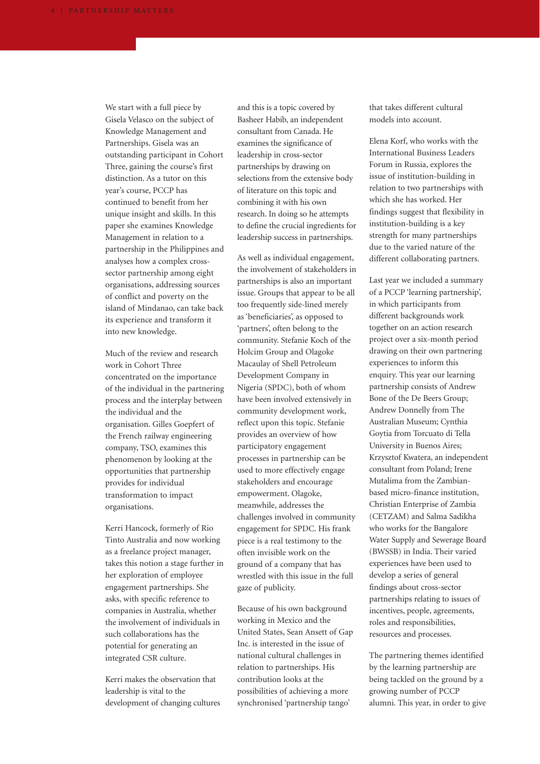We start with a full piece by Gisela Velasco on the subject of Knowledge Management and Partnerships. Gisela was an outstanding participant in Cohort Three, gaining the course's first distinction. As a tutor on this year's course, PCCP has continued to benefit from her unique insight and skills. In this paper she examines Knowledge Management in relation to a partnership in the Philippines and analyses how a complex crosssector partnership among eight organisations, addressing sources of conflict and poverty on the island of Mindanao, can take back its experience and transform it into new knowledge.

Much of the review and research work in Cohort Three concentrated on the importance of the individual in the partnering process and the interplay between the individual and the organisation. Gilles Goepfert of the French railway engineering company, TSO, examines this phenomenon by looking at the opportunities that partnership provides for individual transformation to impact organisations.

Kerri Hancock, formerly of Rio Tinto Australia and now working as a freelance project manager, takes this notion a stage further in her exploration of employee engagement partnerships. She asks, with specific reference to companies in Australia, whether the involvement of individuals in such collaborations has the potential for generating an integrated CSR culture.

Kerri makes the observation that leadership is vital to the development of changing cultures

and this is a topic covered by Basheer Habib, an independent consultant from Canada. He examines the significance of leadership in cross-sector partnerships by drawing on selections from the extensive body of literature on this topic and combining it with his own research. In doing so he attempts to define the crucial ingredients for leadership success in partnerships.

As well as individual engagement, the involvement of stakeholders in partnerships is also an important issue. Groups that appear to be all too frequently side-lined merely as 'beneficiaries', as opposed to 'partners', often belong to the community. Stefanie Koch of the Holcim Group and Olagoke Macaulay of Shell Petroleum Development Company in Nigeria (SPDC), both of whom have been involved extensively in community development work, reflect upon this topic. Stefanie provides an overview of how participatory engagement processes in partnership can be used to more effectively engage stakeholders and encourage empowerment. Olagoke, meanwhile, addresses the challenges involved in community engagement for SPDC. His frank piece is a real testimony to the often invisible work on the ground of a company that has wrestled with this issue in the full gaze of publicity.

Because of his own background working in Mexico and the United States, Sean Ansett of Gap Inc. is interested in the issue of national cultural challenges in relation to partnerships. His contribution looks at the possibilities of achieving a more synchronised 'partnership tango'

that takes different cultural models into account.

Elena Korf, who works with the International Business Leaders Forum in Russia, explores the issue of institution-building in relation to two partnerships with which she has worked. Her findings suggest that flexibility in institution-building is a key strength for many partnerships due to the varied nature of the different collaborating partners.

Last year we included a summary of a PCCP 'learning partnership', in which participants from different backgrounds work together on an action research project over a six-month period drawing on their own partnering experiences to inform this enquiry. This year our learning partnership consists of Andrew Bone of the De Beers Group; Andrew Donnelly from The Australian Museum; Cynthia Goytia from Torcuato di Tella University in Buenos Aires; Krzysztof Kwatera, an independent consultant from Poland; Irene Mutalima from the Zambianbased micro-finance institution, Christian Enterprise of Zambia (CETZAM) and Salma Sadikha who works for the Bangalore Water Supply and Sewerage Board (BWSSB) in India. Their varied experiences have been used to develop a series of general findings about cross-sector partnerships relating to issues of incentives, people, agreements, roles and responsibilities, resources and processes.

The partnering themes identified by the learning partnership are being tackled on the ground by a growing number of PCCP alumni. This year, in order to give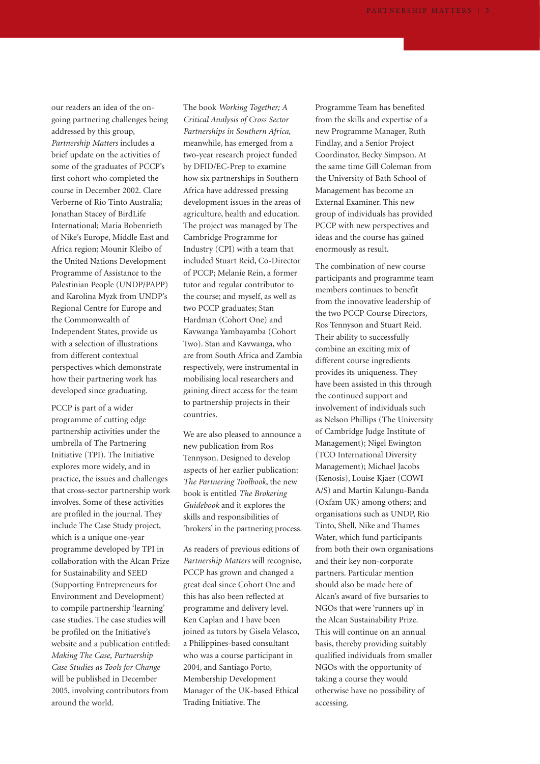our readers an idea of the ongoing partnering challenges being addressed by this group, *Partnership Matters* includes a brief update on the activities of some of the graduates of PCCP's first cohort who completed the course in December 2002. Clare Verberne of Rio Tinto Australia; Jonathan Stacey of BirdLife International; Maria Bobenrieth of Nike's Europe, Middle East and Africa region; Mounir Kleibo of the United Nations Development Programme of Assistance to the Palestinian People (UNDP/PAPP) and Karolina Myzk from UNDP's Regional Centre for Europe and the Commonwealth of Independent States, provide us with a selection of illustrations from different contextual perspectives which demonstrate how their partnering work has developed since graduating.

PCCP is part of a wider programme of cutting edge partnership activities under the umbrella of The Partnering Initiative (TPI). The Initiative explores more widely, and in practice, the issues and challenges that cross-sector partnership work involves. Some of these activities are profiled in the journal. They include The Case Study project, which is a unique one-year programme developed by TPI in collaboration with the Alcan Prize for Sustainability and SEED (Supporting Entrepreneurs for Environment and Development) to compile partnership 'learning' case studies. The case studies will be profiled on the Initiative's website and a publication entitled: *Making The Case, Partnership Case Studies as Tools for Change* will be published in December 2005, involving contributors from around the world.

The book *Working Together; A Critical Analysis of Cross Sector Partnerships in Southern Africa*, meanwhile, has emerged from a two-year research project funded by DFID/EC-Prep to examine how six partnerships in Southern Africa have addressed pressing development issues in the areas of agriculture, health and education. The project was managed by The Cambridge Programme for Industry (CPI) with a team that included Stuart Reid, Co-Director of PCCP; Melanie Rein, a former tutor and regular contributor to the course; and myself, as well as two PCCP graduates; Stan Hardman (Cohort One) and Kavwanga Yambayamba (Cohort Two). Stan and Kavwanga, who are from South Africa and Zambia respectively, were instrumental in mobilising local researchers and gaining direct access for the team to partnership projects in their countries.

We are also pleased to announce a new publication from Ros Tennyson. Designed to develop aspects of her earlier publication: *The Partnering Toolbook*, the new book is entitled *The Brokering Guidebook* and it explores the skills and responsibilities of 'brokers' in the partnering process.

As readers of previous editions of *Partnership Matters* will recognise, PCCP has grown and changed a great deal since Cohort One and this has also been reflected at programme and delivery level. Ken Caplan and I have been joined as tutors by Gisela Velasco, a Philippines-based consultant who was a course participant in 2004, and Santiago Porto, Membership Development Manager of the UK-based Ethical Trading Initiative. The

Programme Team has benefited from the skills and expertise of a new Programme Manager, Ruth Findlay, and a Senior Project Coordinator, Becky Simpson. At the same time Gill Coleman from the University of Bath School of Management has become an External Examiner. This new group of individuals has provided PCCP with new perspectives and ideas and the course has gained enormously as result.

The combination of new course participants and programme team members continues to benefit from the innovative leadership of the two PCCP Course Directors, Ros Tennyson and Stuart Reid. Their ability to successfully combine an exciting mix of different course ingredients provides its uniqueness. They have been assisted in this through the continued support and involvement of individuals such as Nelson Phillips (The University of Cambridge Judge Institute of Management); Nigel Ewington (TCO International Diversity Management); Michael Jacobs (Kenosis), Louise Kjaer (COWI A/S) and Martin Kalungu-Banda (Oxfam UK) among others; and organisations such as UNDP, Rio Tinto, Shell, Nike and Thames Water, which fund participants from both their own organisations and their key non-corporate partners. Particular mention should also be made here of Alcan's award of five bursaries to NGOs that were 'runners up' in the Alcan Sustainability Prize. This will continue on an annual basis, thereby providing suitably qualified individuals from smaller NGOs with the opportunity of taking a course they would otherwise have no possibility of accessing.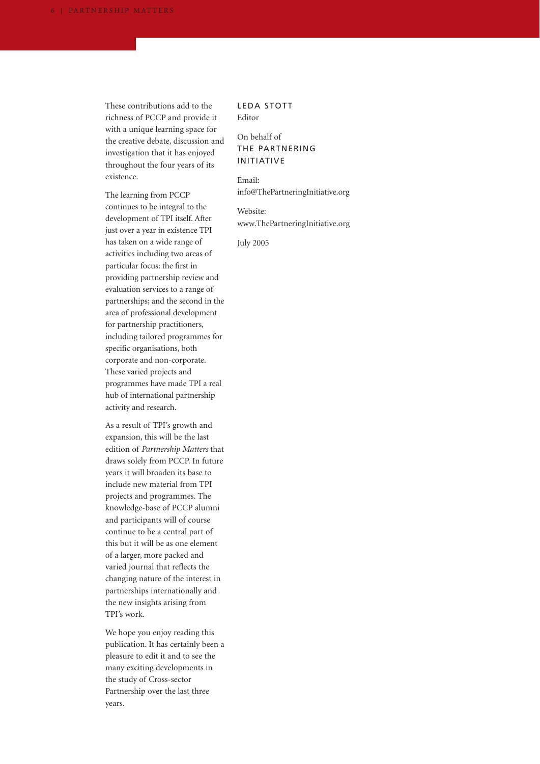These contributions add to the richness of PCCP and provide it with a unique learning space for the creative debate, discussion and investigation that it has enjoyed throughout the four years of its existence.

The learning from PCCP continues to be integral to the development of TPI itself. After just over a year in existence TPI has taken on a wide range of activities including two areas of particular focus: the first in providing partnership review and evaluation services to a range of partnerships; and the second in the area of professional development for partnership practitioners, including tailored programmes for specific organisations, both corporate and non-corporate. These varied projects and programmes have made TPI a real hub of international partnership activity and research.

As a result of TPI's growth and expansion, this will be the last edition of *Partnership Matters* that draws solely from PCCP. In future years it will broaden its base to include new material from TPI projects and programmes. The knowledge-base of PCCP alumni and participants will of course continue to be a central part of this but it will be as one element of a larger, more packed and varied journal that reflects the changing nature of the interest in partnerships internationally and the new insights arising from TPI's work.

We hope you enjoy reading this publication. It has certainly been a pleasure to edit it and to see the many exciting developments in the study of Cross-sector Partnership over the last three years.

LEDA STOTT Editor

### On behalf of THE PARTNERING INITIATIVE

Email: info@ThePartneringInitiative.org

Website: www.ThePartneringInitiative.org

July 2005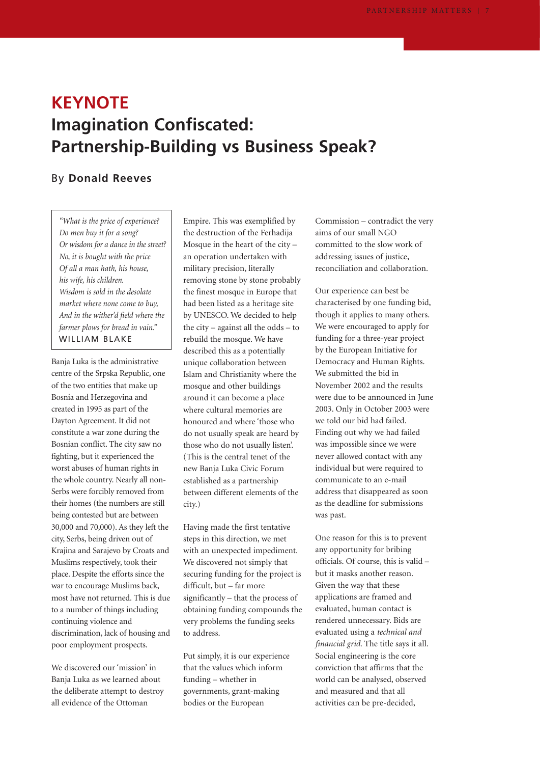# **KEYNOTE Imagination Confiscated: Partnership-Building vs Business Speak?**

## By **Donald Reeves**

*"What is the price of experience? Do men buy it for a song? Or wisdom for a dance in the street? No, it is bought with the price Of all a man hath, his house, his wife, his children. Wisdom is sold in the desolate market where none come to buy, And in the wither'd field where the farmer plows for bread in vain."* WILLIAM BLAKE

Banja Luka is the administrative centre of the Srpska Republic, one of the two entities that make up Bosnia and Herzegovina and created in 1995 as part of the Dayton Agreement. It did not constitute a war zone during the Bosnian conflict. The city saw no fighting, but it experienced the worst abuses of human rights in the whole country. Nearly all non-Serbs were forcibly removed from their homes (the numbers are still being contested but are between 30,000 and 70,000). As they left the city, Serbs, being driven out of Krajina and Sarajevo by Croats and Muslims respectively, took their place. Despite the efforts since the war to encourage Muslims back, most have not returned. This is due to a number of things including continuing violence and discrimination, lack of housing and poor employment prospects.

We discovered our 'mission' in Banja Luka as we learned about the deliberate attempt to destroy all evidence of the Ottoman

Empire. This was exemplified by the destruction of the Ferhadija Mosque in the heart of the city – an operation undertaken with military precision, literally removing stone by stone probably the finest mosque in Europe that had been listed as a heritage site by UNESCO. We decided to help the city – against all the odds – to rebuild the mosque. We have described this as a potentially unique collaboration between Islam and Christianity where the mosque and other buildings around it can become a place where cultural memories are honoured and where 'those who do not usually speak are heard by those who do not usually listen'. (This is the central tenet of the new Banja Luka Civic Forum established as a partnership between different elements of the city.)

Having made the first tentative steps in this direction, we met with an unexpected impediment. We discovered not simply that securing funding for the project is difficult, but – far more significantly – that the process of obtaining funding compounds the very problems the funding seeks to address.

Put simply, it is our experience that the values which inform funding – whether in governments, grant-making bodies or the European

Commission – contradict the very aims of our small NGO committed to the slow work of addressing issues of justice, reconciliation and collaboration.

Our experience can best be characterised by one funding bid, though it applies to many others. We were encouraged to apply for funding for a three-year project by the European Initiative for Democracy and Human Rights. We submitted the bid in November 2002 and the results were due to be announced in June 2003. Only in October 2003 were we told our bid had failed. Finding out why we had failed was impossible since we were never allowed contact with any individual but were required to communicate to an e-mail address that disappeared as soon as the deadline for submissions was past.

One reason for this is to prevent any opportunity for bribing officials. Of course, this is valid – but it masks another reason. Given the way that these applications are framed and evaluated, human contact is rendered unnecessary. Bids are evaluated using a *technical and financial grid*. The title says it all. Social engineering is the core conviction that affirms that the world can be analysed, observed and measured and that all activities can be pre-decided,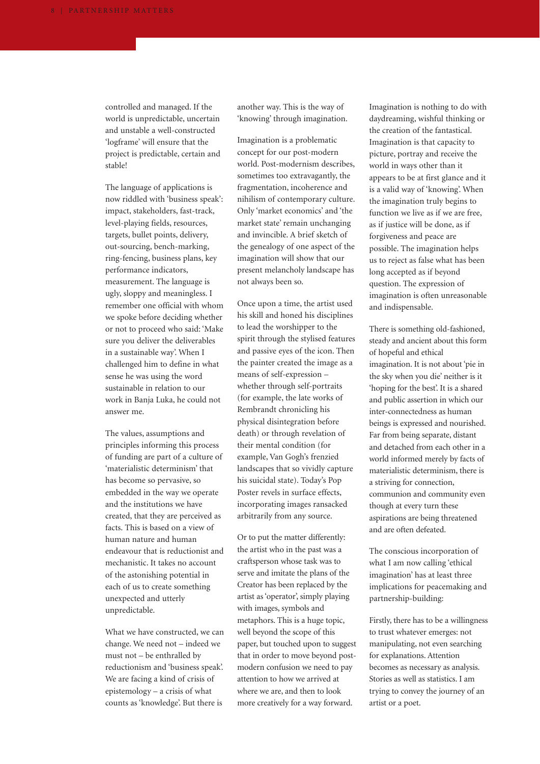controlled and managed. If the world is unpredictable, uncertain and unstable a well-constructed 'logframe' will ensure that the project is predictable, certain and stable!

The language of applications is now riddled with 'business speak': impact, stakeholders, fast-track, level-playing fields, resources, targets, bullet points, delivery, out-sourcing, bench-marking, ring-fencing, business plans, key performance indicators, measurement. The language is ugly, sloppy and meaningless. I remember one official with whom we spoke before deciding whether or not to proceed who said: 'Make sure you deliver the deliverables in a sustainable way'. When I challenged him to define in what sense he was using the word sustainable in relation to our work in Banja Luka, he could not answer me.

The values, assumptions and principles informing this process of funding are part of a culture of 'materialistic determinism' that has become so pervasive, so embedded in the way we operate and the institutions we have created, that they are perceived as facts. This is based on a view of human nature and human endeavour that is reductionist and mechanistic. It takes no account of the astonishing potential in each of us to create something unexpected and utterly unpredictable.

What we have constructed, we can change. We need not – indeed we must not – be enthralled by reductionism and 'business speak'. We are facing a kind of crisis of epistemology – a crisis of what counts as 'knowledge'. But there is

another way. This is the way of 'knowing' through imagination.

Imagination is a problematic concept for our post-modern world. Post-modernism describes, sometimes too extravagantly, the fragmentation, incoherence and nihilism of contemporary culture. Only 'market economics' and 'the market state' remain unchanging and invincible. A brief sketch of the genealogy of one aspect of the imagination will show that our present melancholy landscape has not always been so.

Once upon a time, the artist used his skill and honed his disciplines to lead the worshipper to the spirit through the stylised features and passive eyes of the icon. Then the painter created the image as a means of self-expression – whether through self-portraits (for example, the late works of Rembrandt chronicling his physical disintegration before death) or through revelation of their mental condition (for example, Van Gogh's frenzied landscapes that so vividly capture his suicidal state). Today's Pop Poster revels in surface effects, incorporating images ransacked arbitrarily from any source.

Or to put the matter differently: the artist who in the past was a craftsperson whose task was to serve and imitate the plans of the Creator has been replaced by the artist as 'operator', simply playing with images, symbols and metaphors. This is a huge topic, well beyond the scope of this paper, but touched upon to suggest that in order to move beyond postmodern confusion we need to pay attention to how we arrived at where we are, and then to look more creatively for a way forward.

Imagination is nothing to do with daydreaming, wishful thinking or the creation of the fantastical. Imagination is that capacity to picture, portray and receive the world in ways other than it appears to be at first glance and it is a valid way of 'knowing'. When the imagination truly begins to function we live as if we are free, as if justice will be done, as if forgiveness and peace are possible. The imagination helps us to reject as false what has been long accepted as if beyond question. The expression of imagination is often unreasonable and indispensable.

There is something old-fashioned, steady and ancient about this form of hopeful and ethical imagination. It is not about 'pie in the sky when you die' neither is it 'hoping for the best'. It is a shared and public assertion in which our inter-connectedness as human beings is expressed and nourished. Far from being separate, distant and detached from each other in a world informed merely by facts of materialistic determinism, there is a striving for connection, communion and community even though at every turn these aspirations are being threatened and are often defeated.

The conscious incorporation of what I am now calling 'ethical imagination' has at least three implications for peacemaking and partnership-building:

Firstly, there has to be a willingness to trust whatever emerges: not manipulating, not even searching for explanations. Attention becomes as necessary as analysis. Stories as well as statistics. I am trying to convey the journey of an artist or a poet.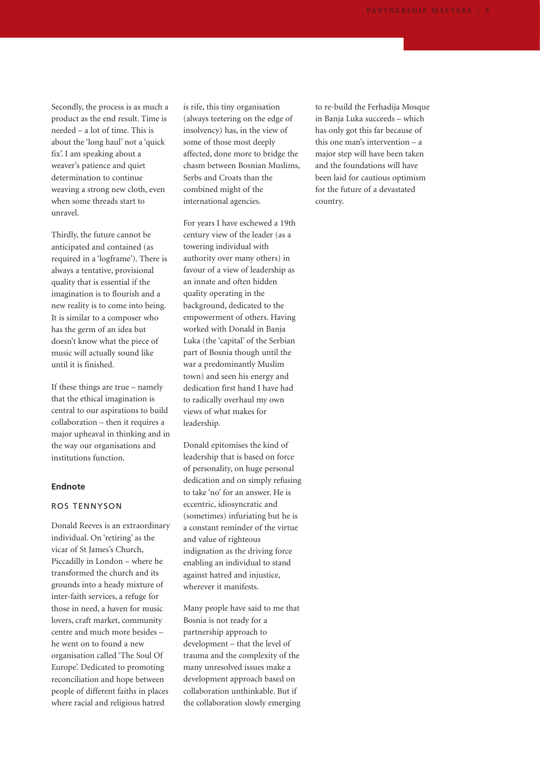Secondly, the process is as much a product as the end result. Time is needed – a lot of time. This is about the 'long haul' not a 'quick fix'. I am speaking about a weaver's patience and quiet determination to continue weaving a strong new cloth, even when some threads start to unravel.

Thirdly, the future cannot be anticipated and contained (as required in a 'logframe'). There is always a tentative, provisional quality that is essential if the imagination is to flourish and a new reality is to come into being. It is similar to a composer who has the germ of an idea but doesn't know what the piece of music will actually sound like until it is finished.

If these things are true – namely that the ethical imagination is central to our aspirations to build collaboration – then it requires a major upheaval in thinking and in the way our organisations and institutions function.

#### **Endnote**

#### ROS TENNYSON

Donald Reeves is an extraordinary individual. On 'retiring' as the vicar of St James's Church, Piccadilly in London – where he transformed the church and its grounds into a heady mixture of inter-faith services, a refuge for those in need, a haven for music lovers, craft market, community centre and much more besides – he went on to found a new organisation called 'The Soul Of Europe'. Dedicated to promoting reconciliation and hope between people of different faiths in places where racial and religious hatred

is rife, this tiny organisation (always teetering on the edge of insolvency) has, in the view of some of those most deeply affected, done more to bridge the chasm between Bosnian Muslims, Serbs and Croats than the combined might of the international agencies.

For years I have eschewed a 19th century view of the leader (as a towering individual with authority over many others) in favour of a view of leadership as an innate and often hidden quality operating in the background, dedicated to the empowerment of others. Having worked with Donald in Banja Luka (the 'capital' of the Serbian part of Bosnia though until the war a predominantly Muslim town) and seen his energy and dedication first hand I have had to radically overhaul my own views of what makes for leadership.

Donald epitomises the kind of leadership that is based on force of personality, on huge personal dedication and on simply refusing to take 'no' for an answer. He is eccentric, idiosyncratic and (sometimes) infuriating but he is a constant reminder of the virtue and value of righteous indignation as the driving force enabling an individual to stand against hatred and injustice, wherever it manifests.

Many people have said to me that Bosnia is not ready for a partnership approach to development – that the level of trauma and the complexity of the many unresolved issues make a development approach based on collaboration unthinkable. But if the collaboration slowly emerging to re-build the Ferhadija Mosque in Banja Luka succeeds – which has only got this far because of this one man's intervention – a major step will have been taken and the foundations will have been laid for cautious optimism for the future of a devastated country.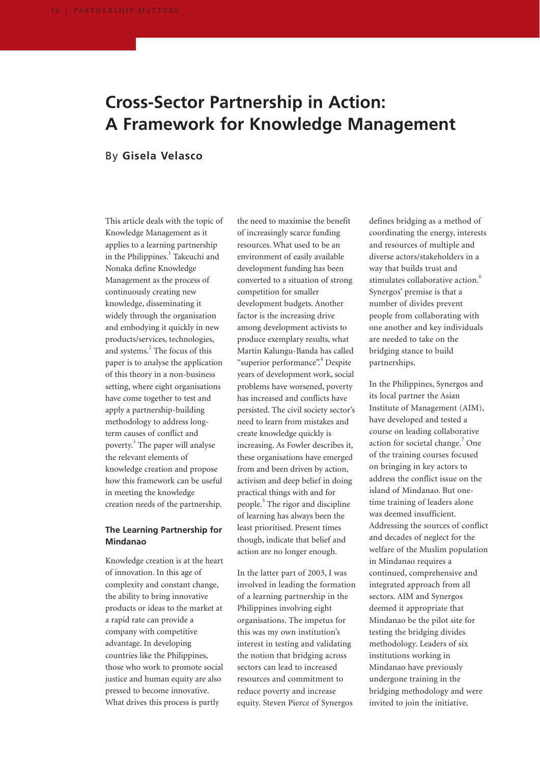# **Cross-Sector Partnership in Action: A Framework for Knowledge Management**

## By **Gisela Velasco**

This article deals with the topic of Knowledge Management as it applies to a learning partnership in the Philippines.<sup>1</sup> Takeuchi and Nonaka define Knowledge Management as the process of continuously creating new knowledge, disseminating it widely through the organisation and embodying it quickly in new products/services, technologies, and systems.<sup>2</sup> The focus of this paper is to analyse the application of this theory in a non-business setting, where eight organisations have come together to test and apply a partnership-building methodology to address longterm causes of conflict and poverty.3 The paper will analyse the relevant elements of knowledge creation and propose how this framework can be useful in meeting the knowledge creation needs of the partnership.

### **The Learning Partnership for Mindanao**

Knowledge creation is at the heart of innovation. In this age of complexity and constant change, the ability to bring innovative products or ideas to the market at a rapid rate can provide a company with competitive advantage. In developing countries like the Philippines, those who work to promote social justice and human equity are also pressed to become innovative. What drives this process is partly

the need to maximise the benefit of increasingly scarce funding resources. What used to be an environment of easily available development funding has been converted to a situation of strong competition for smaller development budgets. Another factor is the increasing drive among development activists to produce exemplary results, what Martin Kalungu-Banda has called "superior performance".<sup>4</sup> Despite years of development work, social problems have worsened, poverty has increased and conflicts have persisted. The civil society sector's need to learn from mistakes and create knowledge quickly is increasing. As Fowler describes it, these organisations have emerged from and been driven by action, activism and deep belief in doing practical things with and for people.<sup>5</sup> The rigor and discipline of learning has always been the least prioritised. Present times though, indicate that belief and action are no longer enough.

In the latter part of 2003, I was involved in leading the formation of a learning partnership in the Philippines involving eight organisations. The impetus for this was my own institution's interest in testing and validating the notion that bridging across sectors can lead to increased resources and commitment to reduce poverty and increase equity. Steven Pierce of Synergos

defines bridging as a method of coordinating the energy, interests and resources of multiple and diverse actors/stakeholders in a way that builds trust and stimulates collaborative action.<sup>6</sup> Synergos' premise is that a number of divides prevent people from collaborating with one another and key individuals are needed to take on the bridging stance to build partnerships.

In the Philippines, Synergos and its local partner the Asian Institute of Management (AIM), have developed and tested a course on leading collaborative action for societal change.<sup>7</sup> One of the training courses focused on bringing in key actors to address the conflict issue on the island of Mindanao. But onetime training of leaders alone was deemed insufficient. Addressing the sources of conflict and decades of neglect for the welfare of the Muslim population in Mindanao requires a continued, comprehensive and integrated approach from all sectors. AIM and Synergos deemed it appropriate that Mindanao be the pilot site for testing the bridging divides methodology. Leaders of six institutions working in Mindanao have previously undergone training in the bridging methodology and were invited to join the initiative.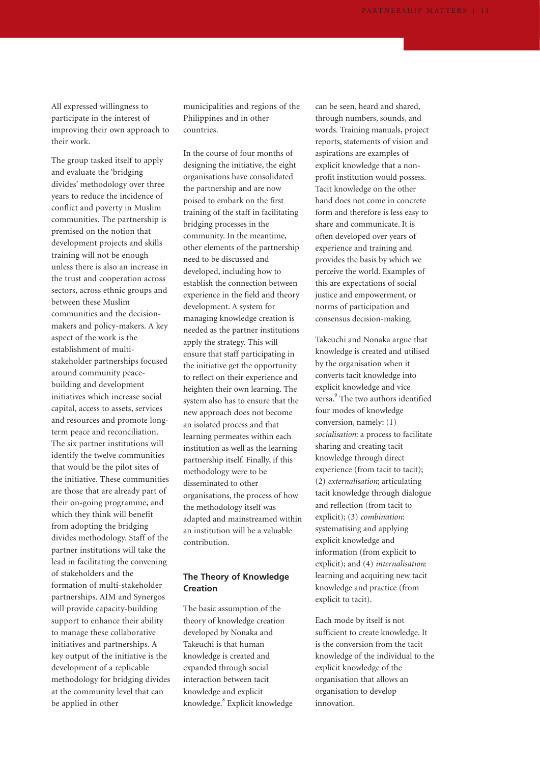All expressed willingness to participate in the interest of improving their own approach to their work.

The group tasked itself to apply and evaluate the 'bridging divides' methodology over three years to reduce the incidence of conflict and poverty in Muslim communities. The partnership is premised on the notion that development projects and skills training will not be enough unless there is also an increase in the trust and cooperation across sectors, across ethnic groups and between these Muslim communities and the decisionmakers and policy-makers. A key aspect of the work is the establishment of multistakeholder partnerships focused around community peacebuilding and development initiatives which increase social capital, access to assets, services and resources and promote longterm peace and reconciliation. The six partner institutions will identify the twelve communities that would be the pilot sites of the initiative. These communities are those that are already part of their on-going programme, and which they think will benefit from adopting the bridging divides methodology. Staff of the partner institutions will take the lead in facilitating the convening of stakeholders and the formation of multi-stakeholder partnerships. AIM and Synergos will provide capacity-building support to enhance their ability to manage these collaborative initiatives and partnerships. A key output of the initiative is the development of a replicable methodology for bridging divides at the community level that can be applied in other

municipalities and regions of the Philippines and in other countries.

In the course of four months of designing the initiative, the eight organisations have consolidated the partnership and are now poised to embark on the first training of the staff in facilitating bridging processes in the community. In the meantime, other elements of the partnership need to be discussed and developed, including how to establish the connection between experience in the field and theory development. A system for managing knowledge creation is needed as the partner institutions apply the strategy. This will ensure that staff participating in the initiative get the opportunity to reflect on their experience and heighten their own learning. The system also has to ensure that the new approach does not become an isolated process and that learning permeates within each institution as well as the learning partnership itself. Finally, if this methodology were to be disseminated to other organisations, the process of how the methodology itself was adapted and mainstreamed within an institution will be a valuable contribution.

### **The Theory of Knowledge Creation**

The basic assumption of the theory of knowledge creation developed by Nonaka and Takeuchi is that human knowledge is created and expanded through social interaction between tacit knowledge and explicit knowledge.<sup>8</sup> Explicit knowledge can be seen, heard and shared, through numbers, sounds, and words. Training manuals, project reports, statements of vision and aspirations are examples of explicit knowledge that a nonprofit institution would possess. Tacit knowledge on the other hand does not come in concrete form and therefore is less easy to share and communicate. It is often developed over years of experience and training and provides the basis by which we perceive the world. Examples of this are expectations of social justice and empowerment, or norms of participation and consensus decision-making.

Takeuchi and Nonaka argue that knowledge is created and utilised by the organisation when it converts tacit knowledge into explicit knowledge and vice versa.<sup>9</sup> The two authors identified four modes of knowledge conversion, namely: (1) *socialisation*: a process to facilitate sharing and creating tacit knowledge through direct experience (from tacit to tacit); (2) *externalisation*; articulating tacit knowledge through dialogue and reflection (from tacit to explicit); (3) *combination*: systematising and applying explicit knowledge and information (from explicit to explicit); and (4) *internalisation*: learning and acquiring new tacit knowledge and practice (from explicit to tacit).

Each mode by itself is not sufficient to create knowledge. It is the conversion from the tacit knowledge of the individual to the explicit knowledge of the organisation that allows an organisation to develop innovation.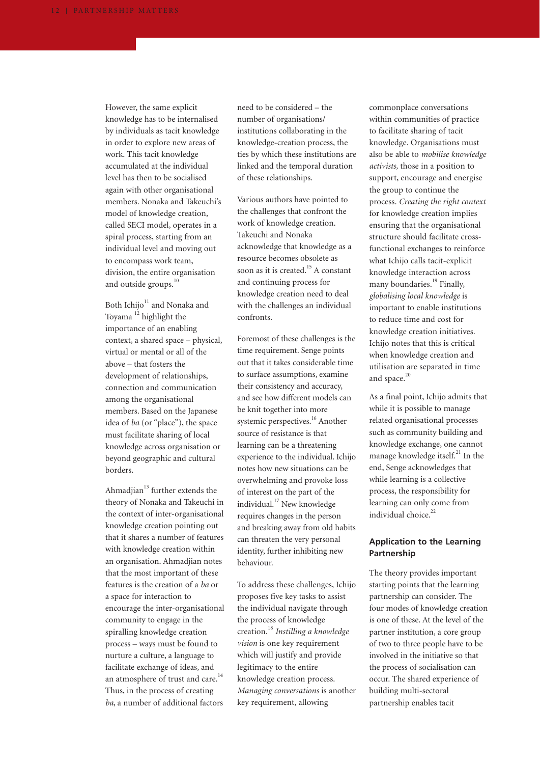However, the same explicit knowledge has to be internalised by individuals as tacit knowledge in order to explore new areas of work. This tacit knowledge accumulated at the individual level has then to be socialised again with other organisational members. Nonaka and Takeuchi's model of knowledge creation, called SECI model, operates in a spiral process, starting from an individual level and moving out to encompass work team, division, the entire organisation and outside groups.<sup>10</sup>

Both Ichijo<sup>11</sup> and Nonaka and Toyama<sup>12</sup> highlight the importance of an enabling context, a shared space – physical, virtual or mental or all of the above – that fosters the development of relationships, connection and communication among the organisational members. Based on the Japanese idea of *ba* (or "place"), the space must facilitate sharing of local knowledge across organisation or beyond geographic and cultural borders.

Ahmadjian $13$  further extends the theory of Nonaka and Takeuchi in the context of inter-organisational knowledge creation pointing out that it shares a number of features with knowledge creation within an organisation. Ahmadjian notes that the most important of these features is the creation of a *ba* or a space for interaction to encourage the inter-organisational community to engage in the spiralling knowledge creation process – ways must be found to nurture a culture, a language to facilitate exchange of ideas, and an atmosphere of trust and care.<sup>14</sup> Thus, in the process of creating *ba*, a number of additional factors

need to be considered – the number of organisations/ institutions collaborating in the knowledge-creation process, the ties by which these institutions are linked and the temporal duration of these relationships.

Various authors have pointed to the challenges that confront the work of knowledge creation. Takeuchi and Nonaka acknowledge that knowledge as a resource becomes obsolete as soon as it is created.<sup>15</sup> A constant and continuing process for knowledge creation need to deal with the challenges an individual confronts.

Foremost of these challenges is the time requirement. Senge points out that it takes considerable time to surface assumptions, examine their consistency and accuracy, and see how different models can be knit together into more systemic perspectives.<sup>16</sup> Another source of resistance is that learning can be a threatening experience to the individual. Ichijo notes how new situations can be overwhelming and provoke loss of interest on the part of the individual.<sup>17</sup> New knowledge requires changes in the person and breaking away from old habits can threaten the very personal identity, further inhibiting new behaviour.

To address these challenges, Ichijo proposes five key tasks to assist the individual navigate through the process of knowledge creation.<sup>18</sup> *Instilling a knowledge vision* is one key requirement which will justify and provide legitimacy to the entire knowledge creation process. *Managing conversations* is another key requirement, allowing

commonplace conversations within communities of practice to facilitate sharing of tacit knowledge. Organisations must also be able to *mobilise knowledge activists,* those in a position to support, encourage and energise the group to continue the process. *Creating the right context* for knowledge creation implies ensuring that the organisational structure should facilitate crossfunctional exchanges to reinforce what Ichijo calls tacit-explicit knowledge interaction across many boundaries.<sup>19</sup> Finally, *globalising local knowledge* is important to enable institutions to reduce time and cost for knowledge creation initiatives. Ichijo notes that this is critical when knowledge creation and utilisation are separated in time and space.<sup>20</sup>

As a final point, Ichijo admits that while it is possible to manage related organisational processes such as community building and knowledge exchange, one cannot manage knowledge itself. $^{21}$  In the end, Senge acknowledges that while learning is a collective process, the responsibility for learning can only come from individual choice.<sup>22</sup>

### **Application to the Learning Partnership**

The theory provides important starting points that the learning partnership can consider. The four modes of knowledge creation is one of these. At the level of the partner institution, a core group of two to three people have to be involved in the initiative so that the process of socialisation can occur. The shared experience of building multi-sectoral partnership enables tacit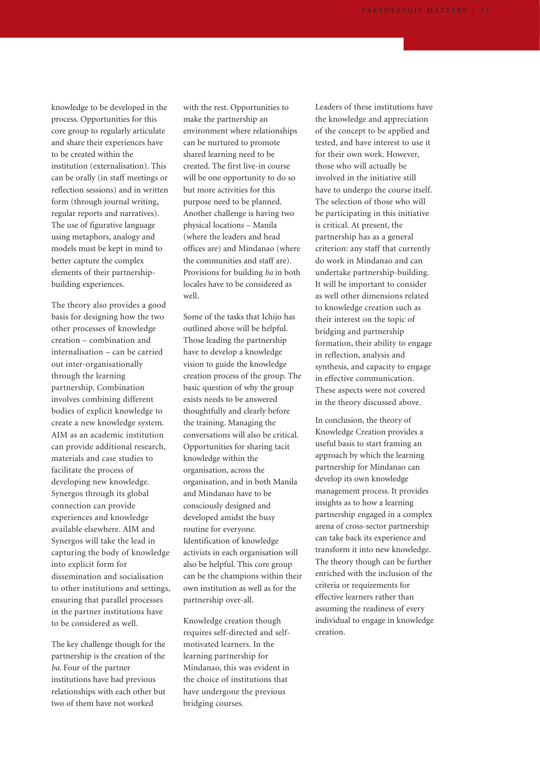knowledge to be developed in the process. Opportunities for this core group to regularly articulate and share their experiences have to be created within the institution (externalisation). This can be orally (in staff meetings or reflection sessions) and in written form (through journal writing, regular reports and narratives). The use of figurative language using metaphors, analogy and models must be kept in mind to better capture the complex elements of their partnershipbuilding experiences.

The theory also provides a good basis for designing how the two other processes of knowledge creation – combination and internalisation – can be carried out inter-organisationally through the learning partnership. Combination involves combining different bodies of explicit knowledge to create a new knowledge system. AIM as an academic institution can provide additional research, materials and case studies to facilitate the process of developing new knowledge. Synergos through its global connection can provide experiences and knowledge available elsewhere. AIM and Synergos will take the lead in capturing the body of knowledge into explicit form for dissemination and socialisation to other institutions and settings, ensuring that parallel processes in the partner institutions have to be considered as well.

The key challenge though for the partnership is the creation of the *ba*. Four of the partner institutions have had previous relationships with each other but two of them have not worked

with the rest. Opportunities to make the partnership an environment where relationships can be nurtured to promote shared learning need to be created. The first live-in course will be one opportunity to do so but more activities for this purpose need to be planned. Another challenge is having two physical locations – Manila (where the leaders and head offices are) and Mindanao (where the communities and staff are). Provisions for building *ba* in both locales have to be considered as well.

Some of the tasks that Ichijo has outlined above will be helpful. Those leading the partnership have to develop a knowledge vision to guide the knowledge creation process of the group. The basic question of why the group exists needs to be answered thoughtfully and clearly before the training. Managing the conversations will also be critical. Opportunities for sharing tacit knowledge within the organisation, across the organisation, and in both Manila and Mindanao have to be consciously designed and developed amidst the busy routine for everyone. Identification of knowledge activists in each organisation will also be helpful. This core group can be the champions within their own institution as well as for the partnership over-all.

Knowledge creation though requires self-directed and selfmotivated learners. In the learning partnership for Mindanao, this was evident in the choice of institutions that have undergone the previous bridging courses.

Leaders of these institutions have the knowledge and appreciation of the concept to be applied and tested, and have interest to use it for their own work. However, those who will actually be involved in the initiative still have to undergo the course itself. The selection of those who will be participating in this initiative is critical. At present, the partnership has as a general criterion: any staff that currently do work in Mindanao and can undertake partnership-building. It will be important to consider as well other dimensions related to knowledge creation such as their interest on the topic of bridging and partnership formation, their ability to engage in reflection, analysis and synthesis, and capacity to engage in effective communication. These aspects were not covered in the theory discussed above.

In conclusion, the theory of Knowledge Creation provides a useful basis to start framing an approach by which the learning partnership for Mindanao can develop its own knowledge management process. It provides insights as to how a learning partnership engaged in a complex arena of cross-sector partnership can take back its experience and transform it into new knowledge. The theory though can be further enriched with the inclusion of the criteria or requirements for effective learners rather than assuming the readiness of every individual to engage in knowledge creation.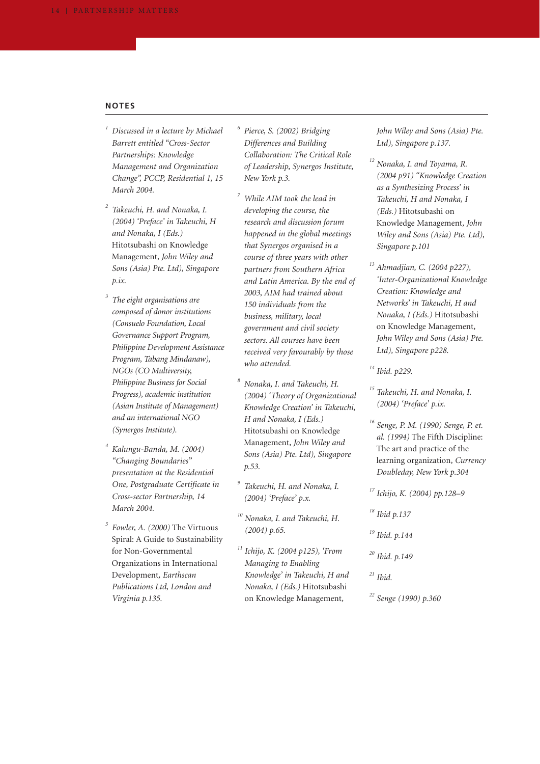#### **NOTES**

- *<sup>1</sup> Discussed in a lecture by Michael Barrett entitled "Cross-Sector Partnerships: Knowledge Management and Organization Change", PCCP, Residential 1, 15 March 2004.*
- *<sup>2</sup> Takeuchi, H. and Nonaka, I. (2004) 'Preface' in Takeuchi, H and Nonaka, I (Eds.)* Hitotsubashi on Knowledge Management*, John Wiley and Sons (Asia) Pte. Ltd), Singapore p.ix.*
- *<sup>3</sup> The eight organisations are composed of donor institutions (Consuelo Foundation, Local Governance Support Program, Philippine Development Assistance Program, Tabang Mindanaw), NGOs (CO Multiversity, Philippine Business for Social Progress), academic institution (Asian Institute of Management) and an international NGO (Synergos Institute).*
- *<sup>4</sup> Kalungu-Banda, M. (2004) "Changing Boundaries" presentation at the Residential One, Postgraduate Certificate in Cross-sector Partnership, 14 March 2004.*
- *<sup>5</sup> Fowler, A. (2000)* The Virtuous Spiral: A Guide to Sustainability for Non-Governmental Organizations in International Development*, Earthscan Publications Ltd, London and Virginia p.135.*
- *<sup>6</sup> Pierce, S. (2002) Bridging Differences and Building Collaboration: The Critical Role of Leadership, Synergos Institute, New York p.3.*
- *<sup>7</sup> While AIM took the lead in developing the course, the research and discussion forum happened in the global meetings that Synergos organised in a course of three years with other partners from Southern Africa and Latin America. By the end of 2003, AIM had trained about 150 individuals from the business, military, local government and civil society sectors. All courses have been received very favourably by those who attended.*
- *<sup>8</sup> Nonaka, I. and Takeuchi, H. (2004) 'Theory of Organizational Knowledge Creation' in Takeuchi, H and Nonaka, I (Eds.)* Hitotsubashi on Knowledge Management*, John Wiley and Sons (Asia) Pte. Ltd), Singapore p.53.*
- *<sup>9</sup> Takeuchi, H. and Nonaka, I. (2004) 'Preface' p.x.*
- *<sup>10</sup> Nonaka, I. and Takeuchi, H. (2004) p.65.*
- *<sup>11</sup> Ichijo, K. (2004 p125), 'From Managing to Enabling Knowledge' in Takeuchi, H and Nonaka, I (Eds.)* Hitotsubashi on Knowledge Management*,*

*John Wiley and Sons (Asia) Pte. Ltd), Singapore p.137.*

- *<sup>12</sup> Nonaka, I. and Toyama, R. (2004 p91) "Knowledge Creation as a Synthesizing Process' in Takeuchi, H and Nonaka, I (Eds.)* Hitotsubashi on Knowledge Management*, John Wiley and Sons (Asia) Pte. Ltd), Singapore p.101*
- *<sup>13</sup> Ahmadjian, C. (2004 p227), 'Inter-Organizational Knowledge Creation: Knowledge and Networks' in Takeuchi, H and Nonaka, I (Eds.)* Hitotsubashi on Knowledge Management*, John Wiley and Sons (Asia) Pte. Ltd), Singapore p228.*
- *<sup>14</sup> Ibid. p229.*
- *<sup>15</sup> Takeuchi, H. and Nonaka, I. (2004) 'Preface' p.ix.*
- *<sup>16</sup> Senge, P. M. (1990) Senge, P. et. al. (1994)* The Fifth Discipline: The art and practice of the learning organization*, Currency Doubleday, New York p.304*
- *<sup>17</sup> Ichijo, K. (2004) pp.128–9*
- *<sup>18</sup> Ibid p.137*
- *<sup>19</sup> Ibid. p.144*
- *<sup>20</sup> Ibid. p.149*
- *<sup>21</sup> Ibid.*
- *<sup>22</sup> Senge (1990) p.360*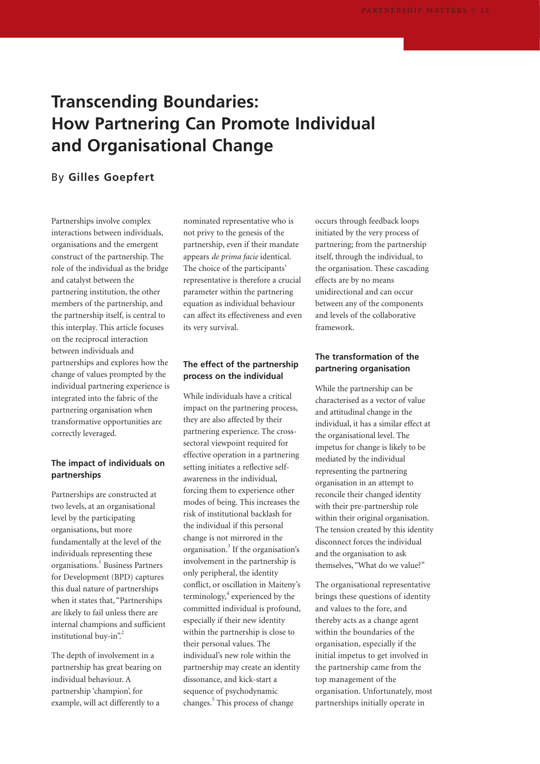# **Transcending Boundaries: How Partnering Can Promote Individual and Organisational Change**

## By **Gilles Goepfert**

Partnerships involve complex interactions between individuals, organisations and the emergent construct of the partnership. The role of the individual as the bridge and catalyst between the partnering institution, the other members of the partnership, and the partnership itself, is central to this interplay. This article focuses on the reciprocal interaction between individuals and partnerships and explores how the change of values prompted by the individual partnering experience is integrated into the fabric of the partnering organisation when transformative opportunities are correctly leveraged.

### **The impact of individuals on partnerships**

Partnerships are constructed at two levels, at an organisational level by the participating organisations, but more fundamentally at the level of the individuals representing these organisations.<sup>1</sup> Business Partners for Development (BPD) captures this dual nature of partnerships when it states that, "Partnerships are likely to fail unless there are internal champions and sufficient institutional buy-in".

The depth of involvement in a partnership has great bearing on individual behaviour. A partnership 'champion', for example, will act differently to a

nominated representative who is not privy to the genesis of the partnership, even if their mandate appears *de prima facie* identical. The choice of the participants' representative is therefore a crucial parameter within the partnering equation as individual behaviour can affect its effectiveness and even its very survival.

## **The effect of the partnership process on the individual**

While individuals have a critical impact on the partnering process, they are also affected by their partnering experience. The crosssectoral viewpoint required for effective operation in a partnering setting initiates a reflective selfawareness in the individual, forcing them to experience other modes of being. This increases the risk of institutional backlash for the individual if this personal change is not mirrored in the organisation.<sup>3</sup> If the organisation's involvement in the partnership is only peripheral, the identity conflict, or oscillation in Maiteny's terminology,<sup>4</sup> experienced by the committed individual is profound, especially if their new identity within the partnership is close to their personal values. The individual's new role within the partnership may create an identity dissonance, and kick-start a sequence of psychodynamic changes.<sup>5</sup> This process of change

occurs through feedback loops initiated by the very process of partnering; from the partnership itself, through the individual, to the organisation. These cascading effects are by no means unidirectional and can occur between any of the components and levels of the collaborative framework.

### **The transformation of the partnering organisation**

While the partnership can be characterised as a vector of value and attitudinal change in the individual, it has a similar effect at the organisational level. The impetus for change is likely to be mediated by the individual representing the partnering organisation in an attempt to reconcile their changed identity with their pre-partnership role within their original organisation. The tension created by this identity disconnect forces the individual and the organisation to ask themselves, "What do we value?"

The organisational representative brings these questions of identity and values to the fore, and thereby acts as a change agent within the boundaries of the organisation, especially if the initial impetus to get involved in the partnership came from the top management of the organisation. Unfortunately, most partnerships initially operate in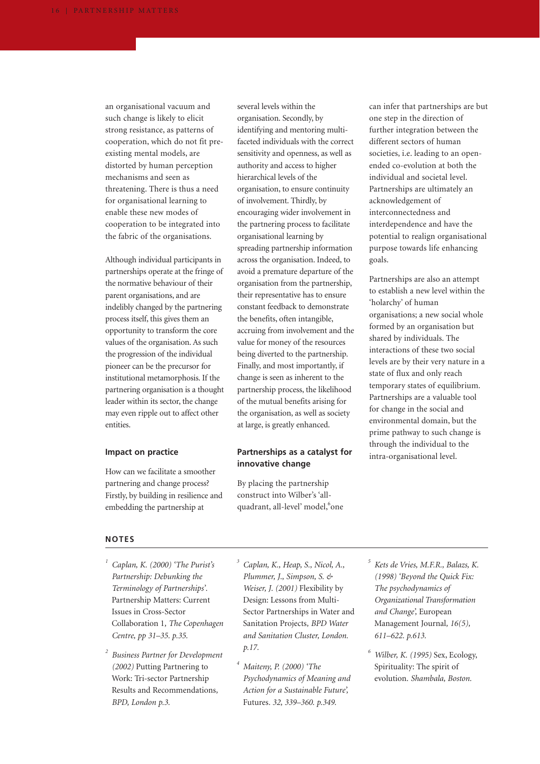an organisational vacuum and such change is likely to elicit strong resistance, as patterns of cooperation, which do not fit preexisting mental models, are distorted by human perception mechanisms and seen as threatening. There is thus a need for organisational learning to enable these new modes of cooperation to be integrated into the fabric of the organisations.

Although individual participants in partnerships operate at the fringe of the normative behaviour of their parent organisations, and are indelibly changed by the partnering process itself, this gives them an opportunity to transform the core values of the organisation. As such the progression of the individual pioneer can be the precursor for institutional metamorphosis. If the partnering organisation is a thought leader within its sector, the change may even ripple out to affect other entities.

#### **Impact on practice**

How can we facilitate a smoother partnering and change process? Firstly, by building in resilience and embedding the partnership at

several levels within the organisation. Secondly, by identifying and mentoring multifaceted individuals with the correct sensitivity and openness, as well as authority and access to higher hierarchical levels of the organisation, to ensure continuity of involvement. Thirdly, by encouraging wider involvement in the partnering process to facilitate organisational learning by spreading partnership information across the organisation. Indeed, to avoid a premature departure of the organisation from the partnership, their representative has to ensure constant feedback to demonstrate the benefits, often intangible, accruing from involvement and the value for money of the resources being diverted to the partnership. Finally, and most importantly, if change is seen as inherent to the partnership process, the likelihood of the mutual benefits arising for the organisation, as well as society at large, is greatly enhanced.

### **Partnerships as a catalyst for innovative change**

By placing the partnership construct into Wilber's 'allquadrant, all-level' model, one can infer that partnerships are but one step in the direction of further integration between the different sectors of human societies, i.e. leading to an openended co-evolution at both the individual and societal level. Partnerships are ultimately an acknowledgement of interconnectedness and interdependence and have the potential to realign organisational purpose towards life enhancing goals.

Partnerships are also an attempt to establish a new level within the 'holarchy' of human organisations; a new social whole formed by an organisation but shared by individuals. The interactions of these two social levels are by their very nature in a state of flux and only reach temporary states of equilibrium. Partnerships are a valuable tool for change in the social and environmental domain, but the prime pathway to such change is through the individual to the intra-organisational level.

#### **NOTES**

- *<sup>1</sup> Caplan, K. (2000) 'The Purist's Partnership: Debunking the Terminology of Partnerships'.* Partnership Matters: Current Issues in Cross-Sector Collaboration 1*, The Copenhagen Centre, pp 31–35. p.35.*
- *<sup>2</sup> Business Partner for Development (2002)* Putting Partnering to Work: Tri-sector Partnership Results and Recommendations*, BPD, London p.3.*

*<sup>3</sup> Caplan, K., Heap, S., Nicol, A., Plummer, J., Simpson, S. & Weiser, J. (2001)* Flexibility by Design: Lessons from Multi-Sector Partnerships in Water and Sanitation Projects*, BPD Water and Sanitation Cluster, London. p.17.*

- *<sup>4</sup> Maiteny, P. (2000) 'The Psychodynamics of Meaning and Action for a Sustainable Future',* Futures*. 32, 339–360. p.349.*
- *<sup>5</sup> Kets de Vries, M.F.R., Balazs, K. (1998) 'Beyond the Quick Fix: The psychodynamics of Organizational Transformation and Change',* European Management Journal*, 16(5), 611–622. p.613.*
- *<sup>6</sup> Wilber, K. (1995)* Sex, Ecology, Spirituality: The spirit of evolution. *Shambala, Boston.*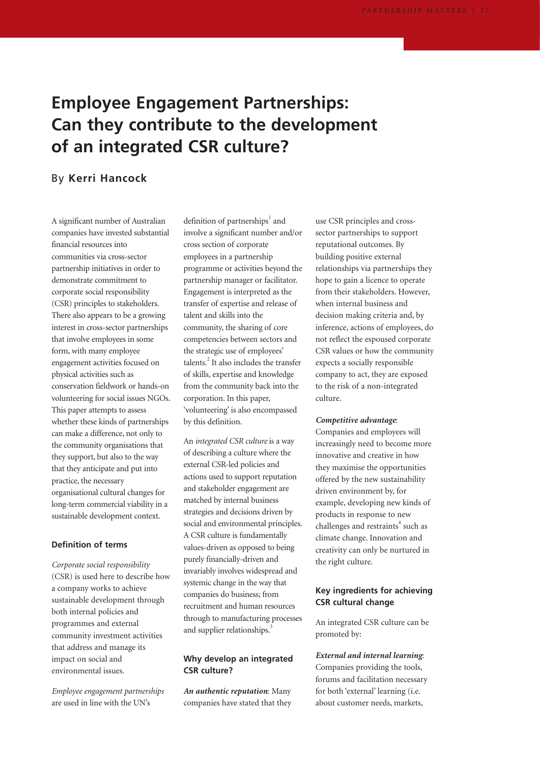# **Employee Engagement Partnerships: Can they contribute to the development of an integrated CSR culture?**

## By **Kerri Hancock**

A significant number of Australian companies have invested substantial financial resources into communities via cross-sector partnership initiatives in order to demonstrate commitment to corporate social responsibility (CSR) principles to stakeholders. There also appears to be a growing interest in cross-sector partnerships that involve employees in some form, with many employee engagement activities focused on physical activities such as conservation fieldwork or hands-on volunteering for social issues NGOs. This paper attempts to assess whether these kinds of partnerships can make a difference, not only to the community organisations that they support, but also to the way that they anticipate and put into practice, the necessary organisational cultural changes for long-term commercial viability in a sustainable development context.

#### **Definition of terms**

*Corporate social responsibility* (CSR) is used here to describe how a company works to achieve sustainable development through both internal policies and programmes and external community investment activities that address and manage its impact on social and environmental issues.

*Employee engagement partnerships* are used in line with the UN's

definition of partnerships<sup>1</sup> and involve a significant number and/or cross section of corporate employees in a partnership programme or activities beyond the partnership manager or facilitator. Engagement is interpreted as the transfer of expertise and release of talent and skills into the community, the sharing of core competencies between sectors and the strategic use of employees' talents.<sup>2</sup> It also includes the transfer of skills, expertise and knowledge from the community back into the corporation. In this paper, 'volunteering' is also encompassed by this definition.

An *integrated CSR culture* is a way of describing a culture where the external CSR-led policies and actions used to support reputation and stakeholder engagement are matched by internal business strategies and decisions driven by social and environmental principles. A CSR culture is fundamentally values-driven as opposed to being purely financially-driven and invariably involves widespread and systemic change in the way that companies do business; from recruitment and human resources through to manufacturing processes and supplier relationships.<sup>3</sup>

#### **Why develop an integrated CSR culture?**

*An authentic reputation*: Many companies have stated that they

use CSR principles and crosssector partnerships to support reputational outcomes. By building positive external relationships via partnerships they hope to gain a licence to operate from their stakeholders. However, when internal business and decision making criteria and, by inference, actions of employees, do not reflect the espoused corporate CSR values or how the community expects a socially responsible company to act, they are exposed to the risk of a non-integrated culture.

#### *Competitive advantage*:

Companies and employees will increasingly need to become more innovative and creative in how they maximise the opportunities offered by the new sustainability driven environment by, for example, developing new kinds of products in response to new challenges and restraints<sup>4</sup> such as climate change. Innovation and creativity can only be nurtured in the right culture.

### **Key ingredients for achieving CSR cultural change**

An integrated CSR culture can be promoted by:

*External and internal learning*: Companies providing the tools, forums and facilitation necessary for both 'external' learning (i.e. about customer needs, markets,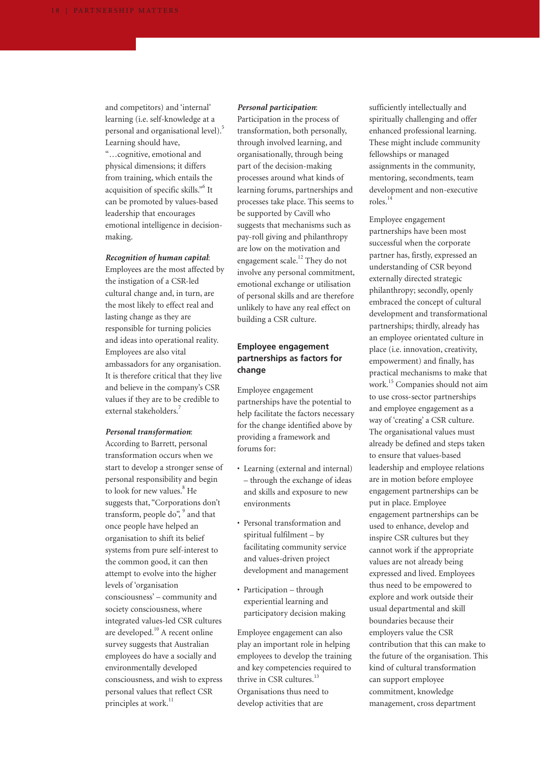and competitors) and 'internal' learning (i.e. self-knowledge at a personal and organisational level).5 Learning should have, "…cognitive, emotional and physical dimensions; it differs from training, which entails the acquisition of specific skills."6 It can be promoted by values-based leadership that encourages emotional intelligence in decisionmaking.

#### *Recognition of human capital*:

Employees are the most affected by the instigation of a CSR-led cultural change and, in turn, are the most likely to effect real and lasting change as they are responsible for turning policies and ideas into operational reality. Employees are also vital ambassadors for any organisation. It is therefore critical that they live and believe in the company's CSR values if they are to be credible to external stakeholders.7

#### *Personal transformation*:

According to Barrett, personal transformation occurs when we start to develop a stronger sense of personal responsibility and begin to look for new values.<sup>8</sup> He suggests that, "Corporations don't transform, people do",  $9^{\circ}$  and that once people have helped an organisation to shift its belief systems from pure self-interest to the common good, it can then attempt to evolve into the higher levels of 'organisation consciousness' – community and society consciousness, where integrated values-led CSR cultures are developed.<sup>10</sup> A recent online survey suggests that Australian employees do have a socially and environmentally developed consciousness, and wish to express personal values that reflect CSR principles at work.<sup>11</sup>

#### *Personal participation*:

Participation in the process of transformation, both personally, through involved learning, and organisationally, through being part of the decision-making processes around what kinds of learning forums, partnerships and processes take place. This seems to be supported by Cavill who suggests that mechanisms such as pay-roll giving and philanthropy are low on the motivation and engagement scale.<sup>12</sup> They do not involve any personal commitment, emotional exchange or utilisation of personal skills and are therefore unlikely to have any real effect on building a CSR culture.

## **Employee engagement partnerships as factors for change**

Employee engagement partnerships have the potential to help facilitate the factors necessary for the change identified above by providing a framework and forums for:

- Learning (external and internal) – through the exchange of ideas and skills and exposure to new environments
- Personal transformation and spiritual fulfilment – by facilitating community service and values-driven project development and management
- Participation through experiential learning and participatory decision making

Employee engagement can also play an important role in helping employees to develop the training and key competencies required to thrive in CSR cultures.<sup>13</sup> Organisations thus need to develop activities that are

sufficiently intellectually and spiritually challenging and offer enhanced professional learning. These might include community fellowships or managed assignments in the community, mentoring, secondments, team development and non-executive roles.<sup>14</sup>

Employee engagement partnerships have been most successful when the corporate partner has, firstly, expressed an understanding of CSR beyond externally directed strategic philanthropy; secondly, openly embraced the concept of cultural development and transformational partnerships; thirdly, already has an employee orientated culture in place (i.e. innovation, creativity, empowerment) and finally, has practical mechanisms to make that work.15 Companies should not aim to use cross-sector partnerships and employee engagement as a way of 'creating' a CSR culture. The organisational values must already be defined and steps taken to ensure that values-based leadership and employee relations are in motion before employee engagement partnerships can be put in place. Employee engagement partnerships can be used to enhance, develop and inspire CSR cultures but they cannot work if the appropriate values are not already being expressed and lived. Employees thus need to be empowered to explore and work outside their usual departmental and skill boundaries because their employers value the CSR contribution that this can make to the future of the organisation. This kind of cultural transformation can support employee commitment, knowledge management, cross department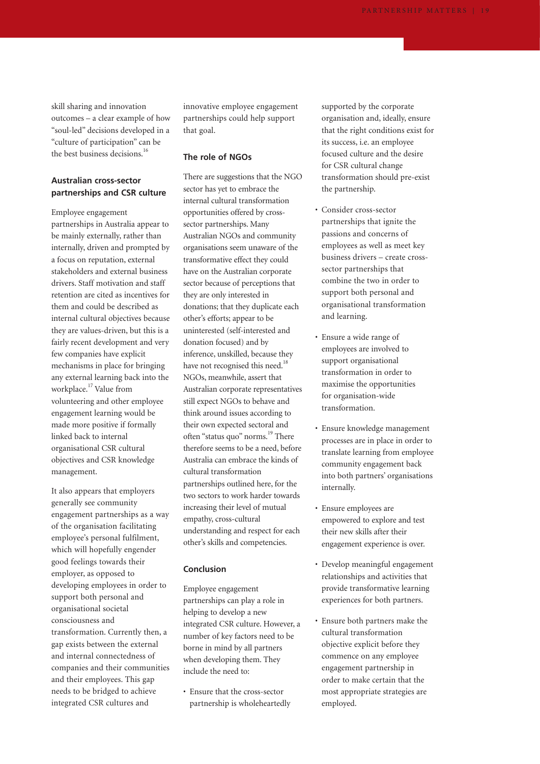skill sharing and innovation outcomes – a clear example of how "soul-led" decisions developed in a "culture of participation" can be the best business decisions.<sup>16</sup>

## **Australian cross-sector partnerships and CSR culture**

Employee engagement partnerships in Australia appear to be mainly externally, rather than internally, driven and prompted by a focus on reputation, external stakeholders and external business drivers. Staff motivation and staff retention are cited as incentives for them and could be described as internal cultural objectives because they are values-driven, but this is a fairly recent development and very few companies have explicit mechanisms in place for bringing any external learning back into the workplace.<sup>17</sup> Value from volunteering and other employee engagement learning would be made more positive if formally linked back to internal organisational CSR cultural objectives and CSR knowledge management.

It also appears that employers generally see community engagement partnerships as a way of the organisation facilitating employee's personal fulfilment, which will hopefully engender good feelings towards their employer, as opposed to developing employees in order to support both personal and organisational societal consciousness and transformation. Currently then, a gap exists between the external and internal connectedness of companies and their communities and their employees. This gap needs to be bridged to achieve integrated CSR cultures and

innovative employee engagement partnerships could help support that goal.

#### **The role of NGOs**

There are suggestions that the NGO sector has yet to embrace the internal cultural transformation opportunities offered by crosssector partnerships. Many Australian NGOs and community organisations seem unaware of the transformative effect they could have on the Australian corporate sector because of perceptions that they are only interested in donations; that they duplicate each other's efforts; appear to be uninterested (self-interested and donation focused) and by inference, unskilled, because they have not recognised this need.<sup>18</sup> NGOs, meanwhile, assert that Australian corporate representatives still expect NGOs to behave and think around issues according to their own expected sectoral and often "status quo" norms.<sup>19</sup> There therefore seems to be a need, before Australia can embrace the kinds of cultural transformation partnerships outlined here, for the two sectors to work harder towards increasing their level of mutual empathy, cross-cultural understanding and respect for each other's skills and competencies.

#### **Conclusion**

- Employee engagement partnerships can play a role in helping to develop a new integrated CSR culture. However, a number of key factors need to be borne in mind by all partners when developing them. They include the need to:
- Ensure that the cross-sector partnership is wholeheartedly

supported by the corporate organisation and, ideally, ensure that the right conditions exist for its success, i.e. an employee focused culture and the desire for CSR cultural change transformation should pre-exist the partnership.

- Consider cross-sector partnerships that ignite the passions and concerns of employees as well as meet key business drivers – create crosssector partnerships that combine the two in order to support both personal and organisational transformation and learning.
- Ensure a wide range of employees are involved to support organisational transformation in order to maximise the opportunities for organisation-wide transformation.
- Ensure knowledge management processes are in place in order to translate learning from employee community engagement back into both partners' organisations internally.
- Ensure employees are empowered to explore and test their new skills after their engagement experience is over.
- Develop meaningful engagement relationships and activities that provide transformative learning experiences for both partners.
- Ensure both partners make the cultural transformation objective explicit before they commence on any employee engagement partnership in order to make certain that the most appropriate strategies are employed.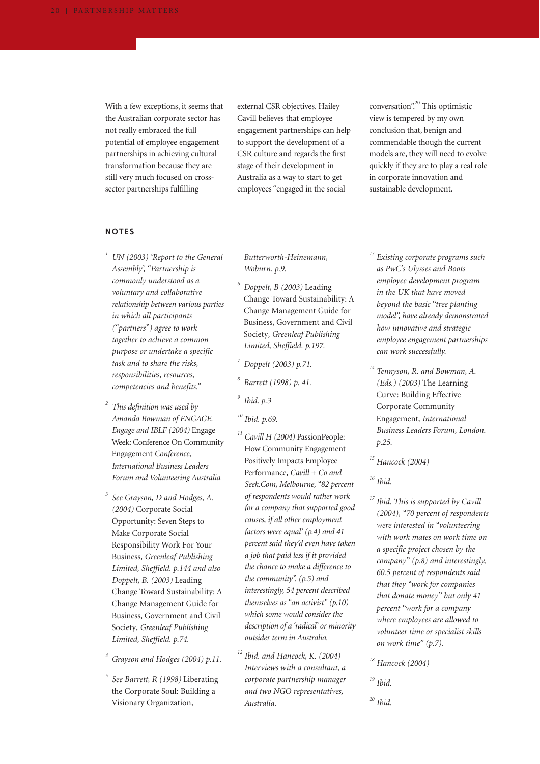With a few exceptions, it seems that the Australian corporate sector has not really embraced the full potential of employee engagement partnerships in achieving cultural transformation because they are still very much focused on crosssector partnerships fulfilling

external CSR objectives. Hailey Cavill believes that employee engagement partnerships can help to support the development of a CSR culture and regards the first stage of their development in Australia as a way to start to get employees "engaged in the social

conversation".<sup>20</sup> This optimistic view is tempered by my own conclusion that, benign and commendable though the current models are, they will need to evolve quickly if they are to play a real role in corporate innovation and sustainable development.

#### **NOTES**

- *<sup>1</sup> UN (2003) 'Report to the General Assembly', "Partnership is commonly understood as a voluntary and collaborative relationship between various parties in which all participants ("partners") agree to work together to achieve a common purpose or undertake a specific task and to share the risks, responsibilities, resources, competencies and benefits."*
- *<sup>2</sup> This definition was used by Amanda Bowman of ENGAGE. Engage and IBLF (2004)* Engage Week: Conference On Community Engagement *Conference, International Business Leaders Forum and Volunteering Australia*
- *<sup>3</sup> See Grayson, D and Hodges, A. (2004)* Corporate Social Opportunity: Seven Steps to Make Corporate Social Responsibility Work For Your Business*, Greenleaf Publishing Limited, Sheffield. p.144 and also Doppelt, B. (2003)* Leading Change Toward Sustainability: A Change Management Guide for Business, Government and Civil Society*, Greenleaf Publishing Limited, Sheffield. p.74.*
- *<sup>4</sup> Grayson and Hodges (2004) p.11.*
- *<sup>5</sup> See Barrett, R (1998)* Liberating the Corporate Soul: Building a Visionary Organization*,*

*Butterworth-Heinemann, Woburn. p.9.*

- *<sup>6</sup> Doppelt, B (2003)* Leading Change Toward Sustainability: A Change Management Guide for Business, Government and Civil Society*, Greenleaf Publishing Limited, Sheffield. p.197.*
- *<sup>7</sup> Doppelt (2003) p.71.*
- *<sup>8</sup> Barrett (1998) p. 41.*
- *<sup>9</sup> Ibid. p.3*
- *<sup>10</sup> Ibid. p.69.*
- *<sup>11</sup> Cavill H (2004)* PassionPeople: How Community Engagement Positively Impacts Employee Performance*, Cavill + Co and Seek.Com, Melbourne, "82 percent of respondents would rather work for a company that supported good causes, if all other employment factors were equal' (p.4) and 41 percent said they'd even have taken a job that paid less if it provided the chance to make a difference to the community". (p.5) and interestingly, 54 percent described themselves as "an activist" (p.10) which some would consider the description of a 'radical' or minority outsider term in Australia.*
- *<sup>12</sup> Ibid. and Hancock, K. (2004) Interviews with a consultant, a corporate partnership manager and two NGO representatives, Australia.*
- *<sup>13</sup> Existing corporate programs such as PwC's Ulysses and Boots employee development program in the UK that have moved beyond the basic "tree planting model", have already demonstrated how innovative and strategic employee engagement partnerships can work successfully.*
- *<sup>14</sup> Tennyson, R. and Bowman, A. (Eds.) (2003)* The Learning Curve: Building Effective Corporate Community Engagement*, International Business Leaders Forum, London. p.25.*

*<sup>15</sup> Hancock (2004)*

- *<sup>16</sup> Ibid.*
- *<sup>17</sup> Ibid. This is supported by Cavill (2004), "70 percent of respondents were interested in "volunteering with work mates on work time on a specific project chosen by the company" (p.8) and interestingly, 60.5 percent of respondents said that they "work for companies that donate money" but only 41 percent "work for a company where employees are allowed to volunteer time or specialist skills on work time" (p.7).*
- *<sup>18</sup> Hancock (2004)*
- *<sup>19</sup> Ibid.*
- *<sup>20</sup> Ibid.*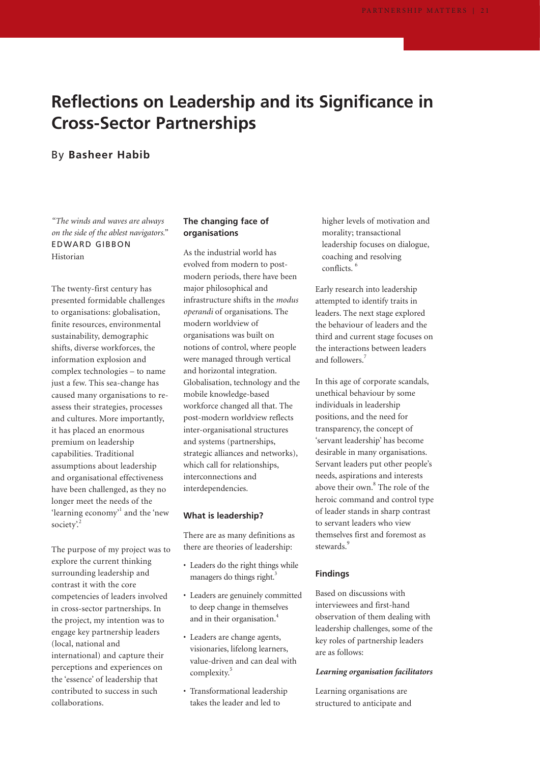# **Reflections on Leadership and its Significance in Cross-Sector Partnerships**

## By **Basheer Habib**

*"The winds and waves are always on the side of the ablest navigators."* EDWARD GIBBON Historian

The twenty-first century has presented formidable challenges to organisations: globalisation, finite resources, environmental sustainability, demographic shifts, diverse workforces, the information explosion and complex technologies – to name just a few. This sea-change has caused many organisations to reassess their strategies, processes and cultures. More importantly, it has placed an enormous premium on leadership capabilities. Traditional assumptions about leadership and organisational effectiveness have been challenged, as they no longer meet the needs of the 'learning economy'<sup>1</sup> and the 'new society'.<sup>2</sup>

The purpose of my project was to explore the current thinking surrounding leadership and contrast it with the core competencies of leaders involved in cross-sector partnerships. In the project, my intention was to engage key partnership leaders (local, national and international) and capture their perceptions and experiences on the 'essence' of leadership that contributed to success in such collaborations.

### **The changing face of organisations**

As the industrial world has evolved from modern to postmodern periods, there have been major philosophical and infrastructure shifts in the *modus operandi* of organisations. The modern worldview of organisations was built on notions of control, where people were managed through vertical and horizontal integration. Globalisation, technology and the mobile knowledge-based workforce changed all that. The post-modern worldview reflects inter-organisational structures and systems (partnerships, strategic alliances and networks), which call for relationships, interconnections and interdependencies.

#### **What is leadership?**

There are as many definitions as there are theories of leadership:

- Leaders do the right things while managers do things right.<sup>3</sup>
- Leaders are genuinely committed to deep change in themselves and in their organisation.<sup>4</sup>
- Leaders are change agents, visionaries, lifelong learners, value-driven and can deal with complexity.<sup>5</sup>
- Transformational leadership takes the leader and led to

higher levels of motivation and morality; transactional leadership focuses on dialogue, coaching and resolving conflicts. <sup>6</sup>

Early research into leadership attempted to identify traits in leaders. The next stage explored the behaviour of leaders and the third and current stage focuses on the interactions between leaders and followers.<sup>7</sup>

In this age of corporate scandals, unethical behaviour by some individuals in leadership positions, and the need for transparency, the concept of 'servant leadership' has become desirable in many organisations. Servant leaders put other people's needs, aspirations and interests above their own.<sup>8</sup> The role of the heroic command and control type of leader stands in sharp contrast to servant leaders who view themselves first and foremost as stewards.<sup>9</sup>

#### **Findings**

Based on discussions with interviewees and first-hand observation of them dealing with leadership challenges, some of the key roles of partnership leaders are as follows:

#### *Learning organisation facilitators*

Learning organisations are structured to anticipate and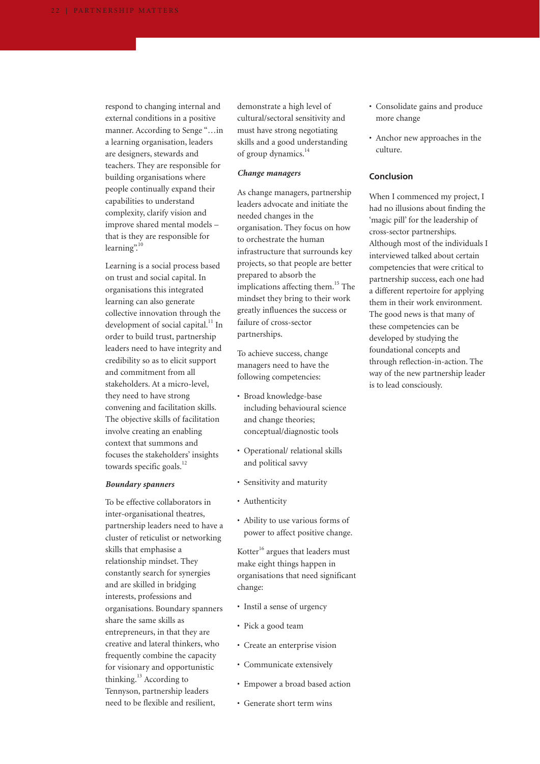respond to changing internal and external conditions in a positive manner. According to Senge "…in a learning organisation, leaders are designers, stewards and teachers. They are responsible for building organisations where people continually expand their capabilities to understand complexity, clarify vision and improve shared mental models – that is they are responsible for learning".<sup>10</sup>

Learning is a social process based on trust and social capital. In organisations this integrated learning can also generate collective innovation through the development of social capital. $11$  In order to build trust, partnership leaders need to have integrity and credibility so as to elicit support and commitment from all stakeholders. At a micro-level, they need to have strong convening and facilitation skills. The objective skills of facilitation involve creating an enabling context that summons and focuses the stakeholders' insights towards specific goals. $^{12}$ 

#### *Boundary spanners*

To be effective collaborators in inter-organisational theatres, partnership leaders need to have a cluster of reticulist or networking skills that emphasise a relationship mindset. They constantly search for synergies and are skilled in bridging interests, professions and organisations. Boundary spanners share the same skills as entrepreneurs, in that they are creative and lateral thinkers, who frequently combine the capacity for visionary and opportunistic thinking.<sup>13</sup> According to Tennyson, partnership leaders need to be flexible and resilient,

demonstrate a high level of cultural/sectoral sensitivity and must have strong negotiating skills and a good understanding of group dynamics.<sup>14</sup>

#### *Change managers*

As change managers, partnership leaders advocate and initiate the needed changes in the organisation. They focus on how to orchestrate the human infrastructure that surrounds key projects, so that people are better prepared to absorb the implications affecting them.<sup>15</sup> The mindset they bring to their work greatly influences the success or failure of cross-sector partnerships.

To achieve success, change managers need to have the following competencies:

- Broad knowledge-base including behavioural science and change theories; conceptual/diagnostic tools
- Operational/ relational skills and political savvy
- Sensitivity and maturity
- Authenticity
- Ability to use various forms of power to affect positive change.

Kotter $^{16}$  argues that leaders must make eight things happen in organisations that need significant change:

- Instil a sense of urgency
- Pick a good team
- Create an enterprise vision
- Communicate extensively
- Empower a broad based action
- Generate short term wins
- Consolidate gains and produce more change
- Anchor new approaches in the culture.

#### **Conclusion**

When I commenced my project, I had no illusions about finding the 'magic pill' for the leadership of cross-sector partnerships. Although most of the individuals I interviewed talked about certain competencies that were critical to partnership success, each one had a different repertoire for applying them in their work environment. The good news is that many of these competencies can be developed by studying the foundational concepts and through reflection-in-action. The way of the new partnership leader is to lead consciously.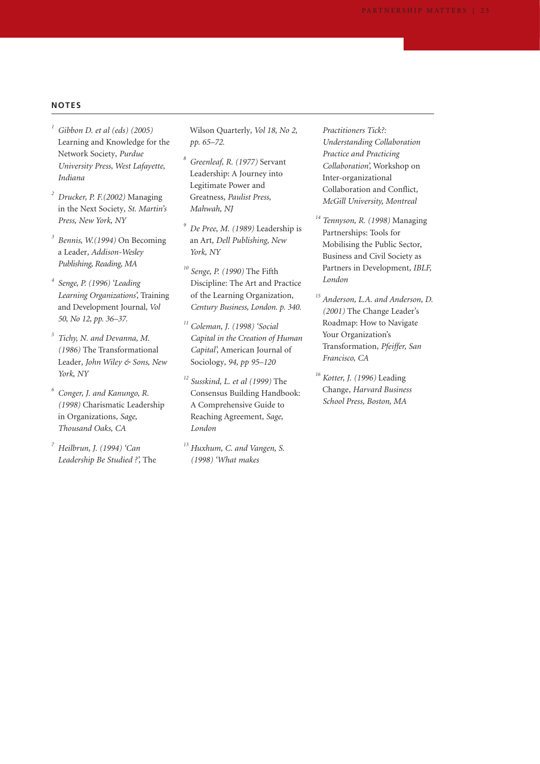### **NOTES**

- *<sup>1</sup> Gibbon D. et al (eds) (2005)* Learning and Knowledge for the Network Society*, Purdue University Press, West Lafayette, Indiana*
- *<sup>2</sup> Drucker, P. F.(2002)* Managing in the Next Society*, St. Martin's Press, New York, NY*
- *<sup>3</sup> Bennis, W.(1994)* On Becoming a Leader*, Addison-Wesley Publishing, Reading, MA*
- *<sup>4</sup> Senge, P. (1996) 'Leading Learning Organizations',* Training and Development Journal*, Vol 50, No 12, pp. 36–37.*
- *<sup>5</sup> Tichy, N. and Devanna, M. (1986)* The Transformational Leader*, John Wiley & Sons, New York, NY*
- *<sup>6</sup> Conger, J. and Kanungo, R. (1998)* Charismatic Leadership in Organizations*, Sage, Thousand Oaks, CA*
- *<sup>7</sup> Heilbrun, J. (1994) 'Can Leadership Be Studied ?',* The

Wilson Quarterly*, Vol 18, No 2, pp. 65–72.*

- *<sup>8</sup> Greenleaf, R. (1977)* Servant Leadership: A Journey into Legitimate Power and Greatness*, Paulist Press, Mahwah, NJ*
- *<sup>9</sup> De Pree, M. (1989)* Leadership is an Art*, Dell Publishing, New York, NY*
- *<sup>10</sup> Senge, P. (1990)* The Fifth Discipline: The Art and Practice of the Learning Organization*, Century Business, London. p. 340.*
- *<sup>11</sup> Coleman, J. (1998) 'Social Capital in the Creation of Human Capital',* American Journal of Sociology*, 94, pp 95–120*
- *<sup>12</sup> Susskind, L. et al (1999)* The Consensus Building Handbook: A Comprehensive Guide to Reaching Agreement*, Sage, London*
- *<sup>13</sup> Huxhum, C. and Vangen, S. (1998) 'What makes*

*Practitioners Tick?: Understanding Collaboration Practice and Practicing Collaboration',* Workshop on Inter-organizational Collaboration and Conflict*, McGill University, Montreal*

- *<sup>14</sup> Tennyson, R. (1998)* Managing Partnerships: Tools for Mobilising the Public Sector, Business and Civil Society as Partners in Development*, IBLF, London*
- *<sup>15</sup> Anderson, L.A. and Anderson, D. (2001)* The Change Leader's Roadmap: How to Navigate Your Organization's Transformation*, Pfeiffer, San Francisco, CA*
- *<sup>16</sup> Kotter, J. (1996)* Leading Change*, Harvard Business School Press, Boston, MA*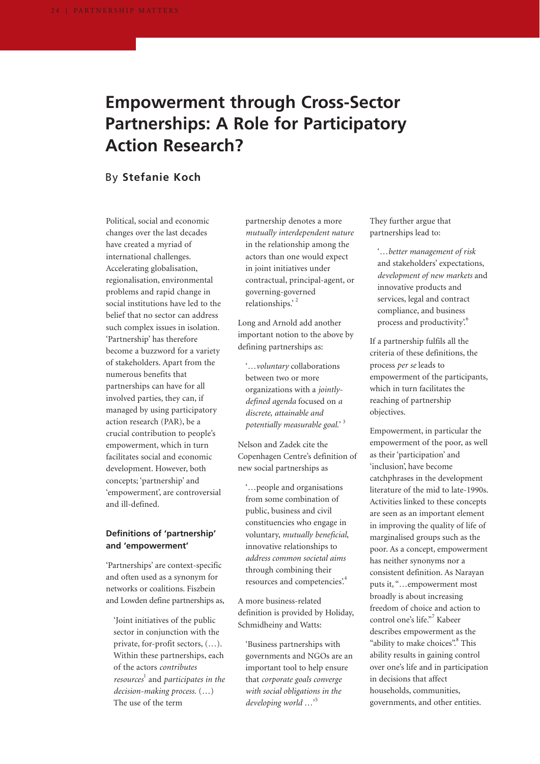# **Empowerment through Cross-Sector Partnerships: A Role for Participatory Action Research?**

## By **Stefanie Koch**

Political, social and economic changes over the last decades have created a myriad of international challenges. Accelerating globalisation, regionalisation, environmental problems and rapid change in social institutions have led to the belief that no sector can address such complex issues in isolation. 'Partnership' has therefore become a buzzword for a variety of stakeholders. Apart from the numerous benefits that partnerships can have for all involved parties, they can, if managed by using participatory action research (PAR), be a crucial contribution to people's empowerment, which in turn facilitates social and economic development. However, both concepts; 'partnership' and 'empowerment', are controversial and ill-defined.

### **Definitions of 'partnership' and 'empowerment'**

'Partnerships' are context-specific and often used as a synonym for networks or coalitions. Fiszbein and Lowden define partnerships as,

'Joint initiatives of the public sector in conjunction with the private, for-profit sectors, (…). Within these partnerships, each of the actors *contributes resources*<sup>1</sup> and *participates in the decision-making process.* (…) The use of the term

partnership denotes a more *mutually interdependent nature* in the relationship among the actors than one would expect in joint initiatives under contractual, principal-agent, or governing-governed relationships.'<sup>2</sup>

Long and Arnold add another important notion to the above by defining partnerships as:

'…*voluntary* collaborations between two or more organizations with a *jointlydefined agenda* focused on *a discrete, attainable and potentially measurable goal.*' 3

Nelson and Zadek cite the Copenhagen Centre's definition of new social partnerships as

'…people and organisations from some combination of public, business and civil constituencies who engage in voluntary, *mutually beneficial*, innovative relationships to *address common societal aims* through combining their resources and competencies'.4

A more business-related definition is provided by Holiday, Schmidheiny and Watts:

'Business partnerships with governments and NGOs are an important tool to help ensure that *corporate goals converge with social obligations in the developing world …*' 5

They further argue that partnerships lead to:

'…*better management of risk* and stakeholders' expectations, *development of new markets* and innovative products and services, legal and contract compliance, and business process and productivity'.<sup>6</sup>

If a partnership fulfils all the criteria of these definitions, the process *per se* leads to empowerment of the participants, which in turn facilitates the reaching of partnership objectives.

Empowerment, in particular the empowerment of the poor, as well as their 'participation' and 'inclusion', have become catchphrases in the development literature of the mid to late-1990s. Activities linked to these concepts are seen as an important element in improving the quality of life of marginalised groups such as the poor. As a concept, empowerment has neither synonyms nor a consistent definition. As Narayan puts it, "…empowerment most broadly is about increasing freedom of choice and action to control one's life."<sup>7</sup> Kabeer describes empowerment as the "ability to make choices". This ability results in gaining control over one's life and in participation in decisions that affect households, communities, governments, and other entities.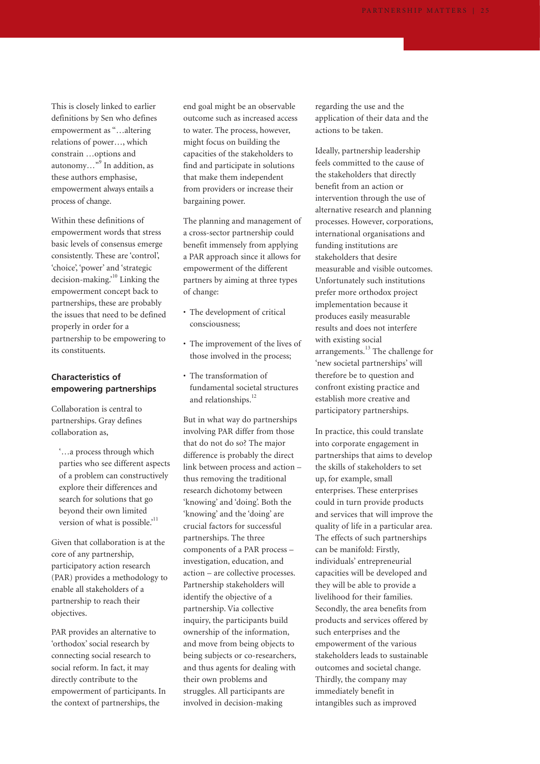This is closely linked to earlier definitions by Sen who defines empowerment as "…altering relations of power…, which constrain …options and autonomy…"9 In addition, as these authors emphasise, empowerment always entails a process of change.

Within these definitions of empowerment words that stress basic levels of consensus emerge consistently. These are 'control', 'choice', 'power' and 'strategic decision-making.<sup>10</sup> Linking the empowerment concept back to partnerships, these are probably the issues that need to be defined properly in order for a partnership to be empowering to its constituents.

### **Characteristics of empowering partnerships**

Collaboration is central to partnerships. Gray defines collaboration as,

'…a process through which parties who see different aspects of a problem can constructively explore their differences and search for solutions that go beyond their own limited version of what is possible.'<sup>11</sup>

Given that collaboration is at the core of any partnership, participatory action research (PAR) provides a methodology to enable all stakeholders of a partnership to reach their objectives.

PAR provides an alternative to 'orthodox' social research by connecting social research to social reform. In fact, it may directly contribute to the empowerment of participants. In the context of partnerships, the

end goal might be an observable outcome such as increased access to water. The process, however, might focus on building the capacities of the stakeholders to find and participate in solutions that make them independent from providers or increase their bargaining power.

The planning and management of a cross-sector partnership could benefit immensely from applying a PAR approach since it allows for empowerment of the different partners by aiming at three types of change:

- The development of critical consciousness;
- The improvement of the lives of those involved in the process;
- The transformation of fundamental societal structures and relationships.<sup>12</sup>

But in what way do partnerships involving PAR differ from those that do not do so? The major difference is probably the direct link between process and action – thus removing the traditional research dichotomy between 'knowing' and 'doing'. Both the 'knowing' and the 'doing' are crucial factors for successful partnerships. The three components of a PAR process – investigation, education, and action – are collective processes. Partnership stakeholders will identify the objective of a partnership. Via collective inquiry, the participants build ownership of the information, and move from being objects to being subjects or co-researchers, and thus agents for dealing with their own problems and struggles. All participants are involved in decision-making

regarding the use and the application of their data and the actions to be taken.

Ideally, partnership leadership feels committed to the cause of the stakeholders that directly benefit from an action or intervention through the use of alternative research and planning processes. However, corporations, international organisations and funding institutions are stakeholders that desire measurable and visible outcomes. Unfortunately such institutions prefer more orthodox project implementation because it produces easily measurable results and does not interfere with existing social arrangements.<sup>13</sup> The challenge for 'new societal partnerships' will therefore be to question and confront existing practice and establish more creative and participatory partnerships.

In practice, this could translate into corporate engagement in partnerships that aims to develop the skills of stakeholders to set up, for example, small enterprises. These enterprises could in turn provide products and services that will improve the quality of life in a particular area. The effects of such partnerships can be manifold: Firstly, individuals' entrepreneurial capacities will be developed and they will be able to provide a livelihood for their families. Secondly, the area benefits from products and services offered by such enterprises and the empowerment of the various stakeholders leads to sustainable outcomes and societal change. Thirdly, the company may immediately benefit in intangibles such as improved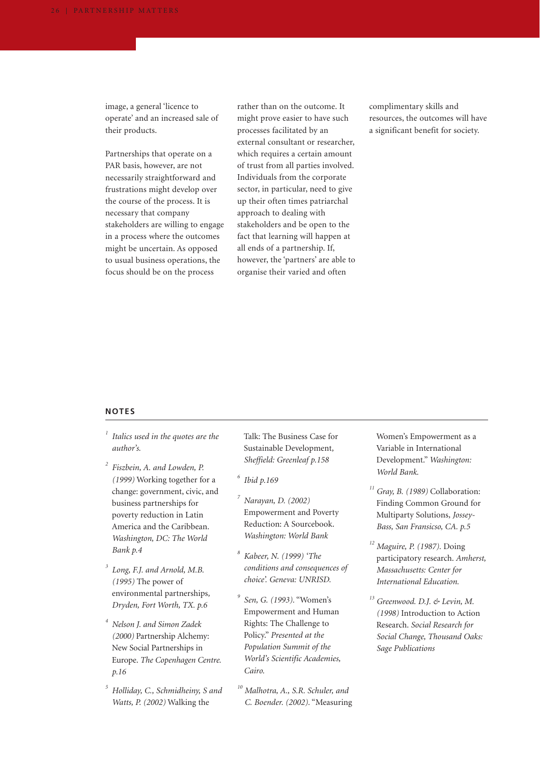image, a general 'licence to operate' and an increased sale of their products.

Partnerships that operate on a PAR basis, however, are not necessarily straightforward and frustrations might develop over the course of the process. It is necessary that company stakeholders are willing to engage in a process where the outcomes might be uncertain. As opposed to usual business operations, the focus should be on the process

rather than on the outcome. It might prove easier to have such processes facilitated by an external consultant or researcher, which requires a certain amount of trust from all parties involved. Individuals from the corporate sector, in particular, need to give up their often times patriarchal approach to dealing with stakeholders and be open to the fact that learning will happen at all ends of a partnership. If, however, the 'partners' are able to organise their varied and often

complimentary skills and resources, the outcomes will have a significant benefit for society.

### **NOTES**

- *<sup>1</sup> Italics used in the quotes are the author's.*
- *<sup>2</sup> Fiszbein, A. and Lowden, P. (1999)* Working together for a change: government, civic, and business partnerships for poverty reduction in Latin America and the Caribbean. *Washington, DC: The World Bank p.4*
- *<sup>3</sup> Long, F.J. and Arnold, M.B. (1995)* The power of environmental partnerships*, Dryden, Fort Worth, TX. p.6*
- *<sup>4</sup> Nelson J. and Simon Zadek (2000)* Partnership Alchemy: New Social Partnerships in Europe. *The Copenhagen Centre. p.16*
- *<sup>5</sup> Holliday, C., Schmidheiny, S and Watts, P. (2002)* Walking the

Talk: The Business Case for Sustainable Development*, Sheffield: Greenleaf p.158*

- *<sup>6</sup> Ibid p.169*
- *<sup>7</sup> Narayan, D. (2002)* Empowerment and Poverty Reduction: A Sourcebook. *Washington: World Bank*
- *<sup>8</sup> Kabeer, N. (1999) 'The conditions and consequences of choice'. Geneva: UNRISD.*
- *<sup>9</sup> Sen, G. (1993).* "Women's Empowerment and Human Rights: The Challenge to Policy." *Presented at the Population Summit of the World's Scientific Academies, Cairo.*
- *<sup>10</sup> Malhotra, A., S.R. Schuler, and C. Boender. (2002).* "Measuring

Women's Empowerment as a Variable in International Development." *Washington: World Bank.*

- *<sup>11</sup> Gray, B. (1989)* Collaboration: Finding Common Ground for Multiparty Solutions*, Jossey-Bass, San Fransicso, CA. p.5*
- *<sup>12</sup> Maguire, P. (1987).* Doing participatory research. *Amherst, Massachusetts: Center for International Education.*
- *<sup>13</sup> Greenwood. D.J. & Levin, M. (1998)* Introduction to Action Research. *Social Research for Social Change, Thousand Oaks: Sage Publications*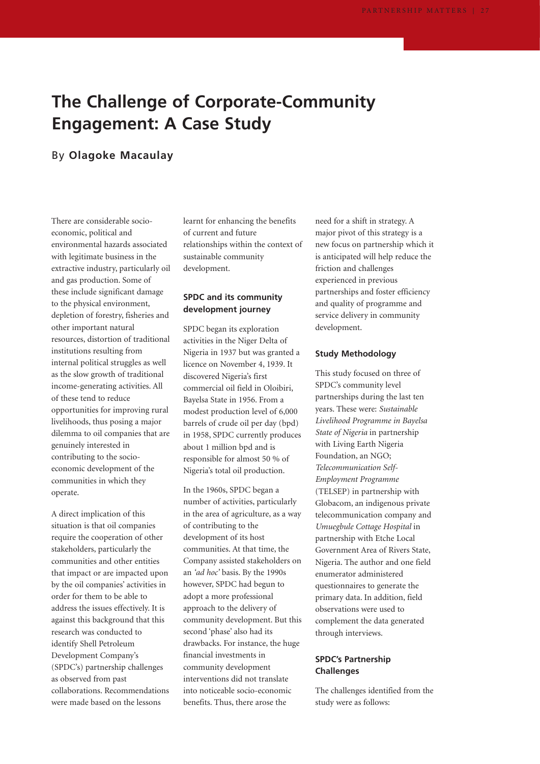# **The Challenge of Corporate-Community Engagement: A Case Study**

## By **Olagoke Macaulay**

There are considerable socioeconomic, political and environmental hazards associated with legitimate business in the extractive industry, particularly oil and gas production. Some of these include significant damage to the physical environment, depletion of forestry, fisheries and other important natural resources, distortion of traditional institutions resulting from internal political struggles as well as the slow growth of traditional income-generating activities. All of these tend to reduce opportunities for improving rural livelihoods, thus posing a major dilemma to oil companies that are genuinely interested in contributing to the socioeconomic development of the communities in which they operate.

A direct implication of this situation is that oil companies require the cooperation of other stakeholders, particularly the communities and other entities that impact or are impacted upon by the oil companies' activities in order for them to be able to address the issues effectively. It is against this background that this research was conducted to identify Shell Petroleum Development Company's (SPDC's) partnership challenges as observed from past collaborations. Recommendations were made based on the lessons

learnt for enhancing the benefits of current and future relationships within the context of sustainable community development.

### **SPDC and its community development journey**

SPDC began its exploration activities in the Niger Delta of Nigeria in 1937 but was granted a licence on November 4, 1939. It discovered Nigeria's first commercial oil field in Oloibiri, Bayelsa State in 1956. From a modest production level of 6,000 barrels of crude oil per day (bpd) in 1958, SPDC currently produces about 1 million bpd and is responsible for almost 50 % of Nigeria's total oil production.

In the 1960s, SPDC began a number of activities, particularly in the area of agriculture, as a way of contributing to the development of its host communities. At that time, the Company assisted stakeholders on an *'ad hoc'* basis. By the 1990s however, SPDC had begun to adopt a more professional approach to the delivery of community development. But this second 'phase' also had its drawbacks. For instance, the huge financial investments in community development interventions did not translate into noticeable socio-economic benefits. Thus, there arose the

need for a shift in strategy. A major pivot of this strategy is a new focus on partnership which it is anticipated will help reduce the friction and challenges experienced in previous partnerships and foster efficiency and quality of programme and service delivery in community development.

#### **Study Methodology**

This study focused on three of SPDC's community level partnerships during the last ten years. These were: *Sustainable Livelihood Programme in Bayelsa State of Nigeria* in partnership with Living Earth Nigeria Foundation, an NGO; *Telecommunication Self-Employment Programme* (TELSEP) in partnership with Globacom, an indigenous private telecommunication company and *Umuegbule Cottage Hospital* in partnership with Etche Local Government Area of Rivers State, Nigeria. The author and one field enumerator administered questionnaires to generate the primary data. In addition, field observations were used to complement the data generated through interviews.

### **SPDC's Partnership Challenges**

The challenges identified from the study were as follows: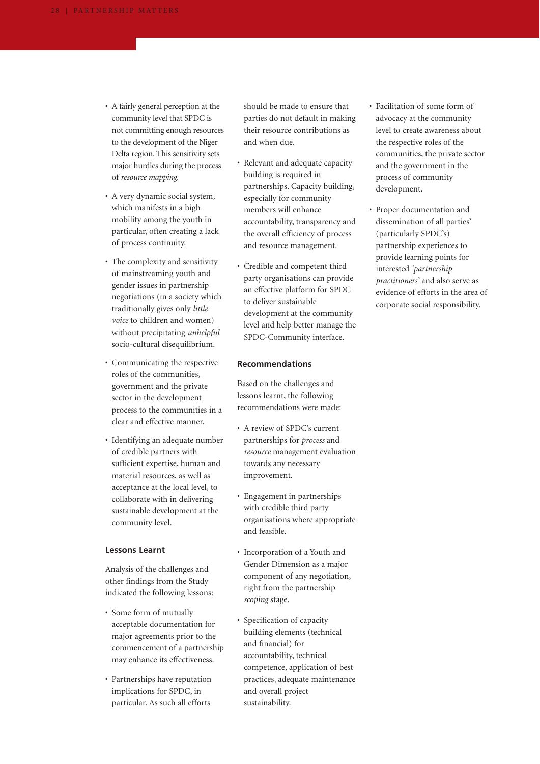- A fairly general perception at the community level that SPDC is not committing enough resources to the development of the Niger Delta region. This sensitivity sets major hurdles during the process of *resource mapping.*
- A very dynamic social system, which manifests in a high mobility among the youth in particular, often creating a lack of process continuity.
- The complexity and sensitivity of mainstreaming youth and gender issues in partnership negotiations (in a society which traditionally gives only *little voice* to children and women) without precipitating *unhelpful* socio-cultural disequilibrium.
- Communicating the respective roles of the communities, government and the private sector in the development process to the communities in a clear and effective manner.
- Identifying an adequate number of credible partners with sufficient expertise, human and material resources, as well as acceptance at the local level, to collaborate with in delivering sustainable development at the community level.

#### **Lessons Learnt**

Analysis of the challenges and other findings from the Study indicated the following lessons:

- Some form of mutually acceptable documentation for major agreements prior to the commencement of a partnership may enhance its effectiveness.
- Partnerships have reputation implications for SPDC, in particular. As such all efforts

should be made to ensure that parties do not default in making their resource contributions as and when due.

- Relevant and adequate capacity building is required in partnerships. Capacity building, especially for community members will enhance accountability, transparency and the overall efficiency of process and resource management.
- Credible and competent third party organisations can provide an effective platform for SPDC to deliver sustainable development at the community level and help better manage the SPDC-Community interface.

#### **Recommendations**

Based on the challenges and lessons learnt, the following recommendations were made:

- A review of SPDC's current partnerships for *process* and *resource* management evaluation towards any necessary improvement.
- Engagement in partnerships with credible third party organisations where appropriate and feasible.
- Incorporation of a Youth and Gender Dimension as a major component of any negotiation, right from the partnership *scoping* stage.
- Specification of capacity building elements (technical and financial) for accountability, technical competence, application of best practices, adequate maintenance and overall project sustainability.
- Facilitation of some form of advocacy at the community level to create awareness about the respective roles of the communities, the private sector and the government in the process of community development.
- Proper documentation and dissemination of all parties' (particularly SPDC's) partnership experiences to provide learning points for interested *'partnership practitioners'* and also serve as evidence of efforts in the area of corporate social responsibility.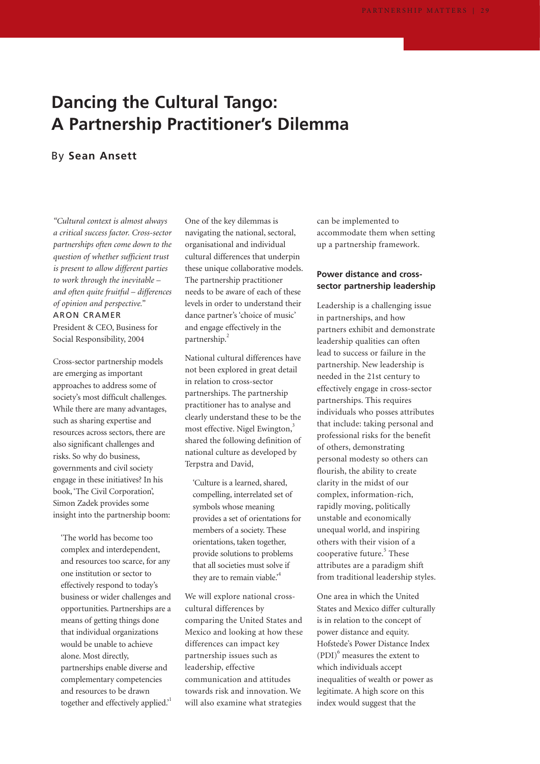# **Dancing the Cultural Tango: A Partnership Practitioner's Dilemma**

## By **Sean Ansett**

*"Cultural context is almost always a critical success factor. Cross-sector partnerships often come down to the question of whether sufficient trust is present to allow different parties to work through the inevitable – and often quite fruitful – differences of opinion and perspective."* ARON CRAMER

President & CEO, Business for Social Responsibility, 2004

Cross-sector partnership models are emerging as important approaches to address some of society's most difficult challenges. While there are many advantages, such as sharing expertise and resources across sectors, there are also significant challenges and risks. So why do business, governments and civil society engage in these initiatives? In his book, 'The Civil Corporation', Simon Zadek provides some insight into the partnership boom:

'The world has become too complex and interdependent, and resources too scarce, for any one institution or sector to effectively respond to today's business or wider challenges and opportunities. Partnerships are a means of getting things done that individual organizations would be unable to achieve alone. Most directly, partnerships enable diverse and complementary competencies and resources to be drawn together and effectively applied.<sup>1</sup>

One of the key dilemmas is navigating the national, sectoral, organisational and individual cultural differences that underpin these unique collaborative models. The partnership practitioner needs to be aware of each of these levels in order to understand their dance partner's 'choice of music' and engage effectively in the partnership.<sup>2</sup>

National cultural differences have not been explored in great detail in relation to cross-sector partnerships. The partnership practitioner has to analyse and clearly understand these to be the most effective. Nigel Ewington,<sup>3</sup> shared the following definition of national culture as developed by Terpstra and David,

'Culture is a learned, shared, compelling, interrelated set of symbols whose meaning provides a set of orientations for members of a society. These orientations, taken together, provide solutions to problems that all societies must solve if they are to remain viable.<sup>4</sup>

We will explore national crosscultural differences by comparing the United States and Mexico and looking at how these differences can impact key partnership issues such as leadership, effective communication and attitudes towards risk and innovation. We will also examine what strategies

can be implemented to accommodate them when setting up a partnership framework.

## **Power distance and crosssector partnership leadership**

Leadership is a challenging issue in partnerships, and how partners exhibit and demonstrate leadership qualities can often lead to success or failure in the partnership. New leadership is needed in the 21st century to effectively engage in cross-sector partnerships. This requires individuals who posses attributes that include: taking personal and professional risks for the benefit of others, demonstrating personal modesty so others can flourish, the ability to create clarity in the midst of our complex, information-rich, rapidly moving, politically unstable and economically unequal world, and inspiring others with their vision of a cooperative future. $5$  These attributes are a paradigm shift from traditional leadership styles.

One area in which the United States and Mexico differ culturally is in relation to the concept of power distance and equity. Hofstede's Power Distance Index  $(PDI)^6$  measures the extent to which individuals accept inequalities of wealth or power as legitimate. A high score on this index would suggest that the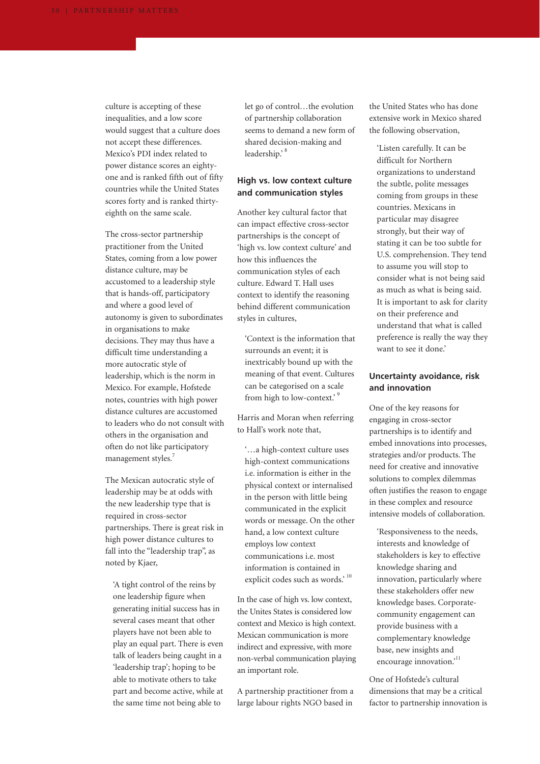culture is accepting of these inequalities, and a low score would suggest that a culture does not accept these differences. Mexico's PDI index related to power distance scores an eightyone and is ranked fifth out of fifty countries while the United States scores forty and is ranked thirtyeighth on the same scale.

The cross-sector partnership practitioner from the United States, coming from a low power distance culture, may be accustomed to a leadership style that is hands-off, participatory and where a good level of autonomy is given to subordinates in organisations to make decisions. They may thus have a difficult time understanding a more autocratic style of leadership, which is the norm in Mexico. For example, Hofstede notes, countries with high power distance cultures are accustomed to leaders who do not consult with others in the organisation and often do not like participatory management styles.<sup>7</sup>

The Mexican autocratic style of leadership may be at odds with the new leadership type that is required in cross-sector partnerships. There is great risk in high power distance cultures to fall into the "leadership trap", as noted by Kjaer,

'A tight control of the reins by one leadership figure when generating initial success has in several cases meant that other players have not been able to play an equal part. There is even talk of leaders being caught in a 'leadership trap'; hoping to be able to motivate others to take part and become active, while at the same time not being able to

let go of control…the evolution of partnership collaboration seems to demand a new form of shared decision-making and leadership.'<sup>8</sup>

## **High vs. low context culture and communication styles**

Another key cultural factor that can impact effective cross-sector partnerships is the concept of 'high vs. low context culture' and how this influences the communication styles of each culture. Edward T. Hall uses context to identify the reasoning behind different communication styles in cultures,

'Context is the information that surrounds an event; it is inextricably bound up with the meaning of that event. Cultures can be categorised on a scale from high to low-context.' <sup>9</sup>

Harris and Moran when referring to Hall's work note that,

'…a high-context culture uses high-context communications i.e. information is either in the physical context or internalised in the person with little being communicated in the explicit words or message. On the other hand, a low context culture employs low context communications i.e. most information is contained in explicit codes such as words.' 10

In the case of high vs. low context, the Unites States is considered low context and Mexico is high context. Mexican communication is more indirect and expressive, with more non-verbal communication playing an important role.

A partnership practitioner from a large labour rights NGO based in

the United States who has done extensive work in Mexico shared the following observation,

'Listen carefully. It can be difficult for Northern organizations to understand the subtle, polite messages coming from groups in these countries. Mexicans in particular may disagree strongly, but their way of stating it can be too subtle for U.S. comprehension. They tend to assume you will stop to consider what is not being said as much as what is being said. It is important to ask for clarity on their preference and understand that what is called preference is really the way they want to see it done.'

#### **Uncertainty avoidance, risk and innovation**

One of the key reasons for engaging in cross-sector partnerships is to identify and embed innovations into processes, strategies and/or products. The need for creative and innovative solutions to complex dilemmas often justifies the reason to engage in these complex and resource intensive models of collaboration.

'Responsiveness to the needs, interests and knowledge of stakeholders is key to effective knowledge sharing and innovation, particularly where these stakeholders offer new knowledge bases. Corporatecommunity engagement can provide business with a complementary knowledge base, new insights and encourage innovation.'<sup>11</sup>

One of Hofstede's cultural dimensions that may be a critical factor to partnership innovation is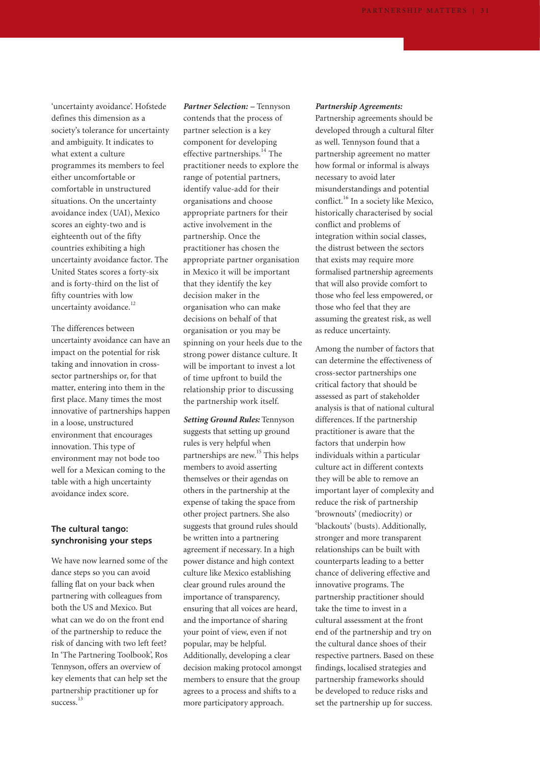'uncertainty avoidance'. Hofstede defines this dimension as a society's tolerance for uncertainty and ambiguity. It indicates to what extent a culture programmes its members to feel either uncomfortable or comfortable in unstructured situations. On the uncertainty avoidance index (UAI), Mexico scores an eighty-two and is eighteenth out of the fifty countries exhibiting a high uncertainty avoidance factor. The United States scores a forty-six and is forty-third on the list of fifty countries with low uncertainty avoidance.<sup>12</sup>

The differences between uncertainty avoidance can have an impact on the potential for risk taking and innovation in crosssector partnerships or, for that matter, entering into them in the first place. Many times the most innovative of partnerships happen in a loose, unstructured environment that encourages innovation. This type of environment may not bode too well for a Mexican coming to the table with a high uncertainty avoidance index score.

### **The cultural tango: synchronising your steps**

We have now learned some of the dance steps so you can avoid falling flat on your back when partnering with colleagues from both the US and Mexico. But what can we do on the front end of the partnership to reduce the risk of dancing with two left feet? In 'The Partnering Toolbook', Ros Tennyson, offers an overview of key elements that can help set the partnership practitioner up for success<sup>13</sup>

*Partner Selection: –* Tennyson contends that the process of partner selection is a key component for developing effective partnerships.<sup>14</sup> The practitioner needs to explore the range of potential partners, identify value-add for their organisations and choose appropriate partners for their active involvement in the partnership. Once the practitioner has chosen the appropriate partner organisation in Mexico it will be important that they identify the key decision maker in the organisation who can make decisions on behalf of that organisation or you may be spinning on your heels due to the strong power distance culture. It will be important to invest a lot of time upfront to build the relationship prior to discussing the partnership work itself.

*Setting Ground Rules:* Tennyson suggests that setting up ground rules is very helpful when partnerships are new.<sup>15</sup> This helps members to avoid asserting themselves or their agendas on others in the partnership at the expense of taking the space from other project partners. She also suggests that ground rules should be written into a partnering agreement if necessary. In a high power distance and high context culture like Mexico establishing clear ground rules around the importance of transparency, ensuring that all voices are heard, and the importance of sharing your point of view, even if not popular, may be helpful. Additionally, developing a clear decision making protocol amongst members to ensure that the group agrees to a process and shifts to a more participatory approach.

#### *Partnership Agreements:*

Partnership agreements should be developed through a cultural filter as well. Tennyson found that a partnership agreement no matter how formal or informal is always necessary to avoid later misunderstandings and potential conflict.<sup>16</sup> In a society like Mexico, historically characterised by social conflict and problems of integration within social classes, the distrust between the sectors that exists may require more formalised partnership agreements that will also provide comfort to those who feel less empowered, or those who feel that they are assuming the greatest risk, as well as reduce uncertainty.

Among the number of factors that can determine the effectiveness of cross-sector partnerships one critical factory that should be assessed as part of stakeholder analysis is that of national cultural differences. If the partnership practitioner is aware that the factors that underpin how individuals within a particular culture act in different contexts they will be able to remove an important layer of complexity and reduce the risk of partnership 'brownouts' (mediocrity) or 'blackouts' (busts). Additionally, stronger and more transparent relationships can be built with counterparts leading to a better chance of delivering effective and innovative programs. The partnership practitioner should take the time to invest in a cultural assessment at the front end of the partnership and try on the cultural dance shoes of their respective partners. Based on these findings, localised strategies and partnership frameworks should be developed to reduce risks and set the partnership up for success.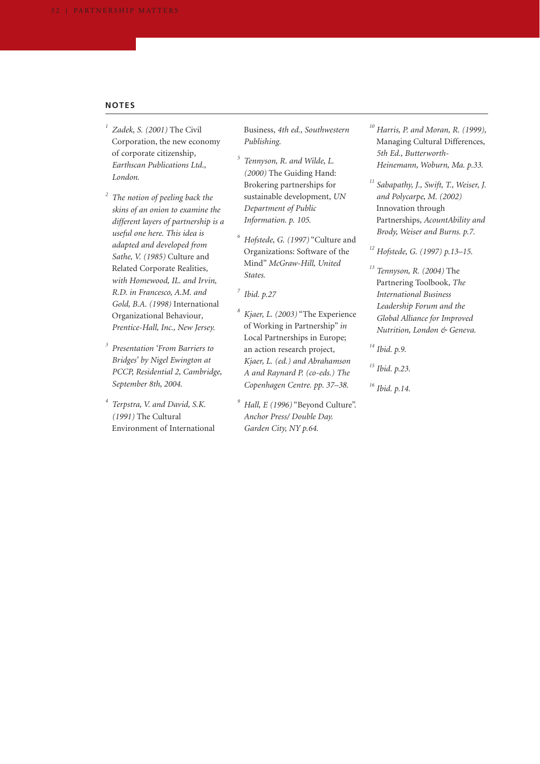#### **NOTES**

- *<sup>1</sup> Zadek, S. (2001)* The Civil Corporation, the new economy of corporate citizenship*, Earthscan Publications Ltd., London.*
- *<sup>2</sup> The notion of peeling back the skins of an onion to examine the different layers of partnership is a useful one here. This idea is adapted and developed from Sathe, V. (1985)* Culture and Related Corporate Realities*, with Homewood, IL. and Irvin, R.D. in Francesco, A.M. and Gold, B.A. (1998)* International Organizational Behaviour*, Prentice-Hall, Inc., New Jersey.*
- *<sup>3</sup> Presentation 'From Barriers to Bridges' by Nigel Ewington at PCCP, Residential 2, Cambridge, September 8th, 2004.*
- *<sup>4</sup> Terpstra, V. and David, S.K. (1991)* The Cultural Environment of International

Business*, 4th ed., Southwestern Publishing*.

- *<sup>5</sup> Tennyson, R. and Wilde, L. (2000)* The Guiding Hand: Brokering partnerships for sustainable development, *UN Department of Public Information. p. 105.*
- *<sup>6</sup> Hofstede, G. (1997)* "Culture and Organizations: Software of the Mind" *McGraw-Hill, United States.*
- *<sup>7</sup> Ibid. p.27*
- *<sup>8</sup> Kjaer, L. (2003)* "The Experience of Working in Partnership" *in* Local Partnerships in Europe; an action research project*, Kjaer, L. (ed.) and Abrahamson A and Raynard P. (co-eds.) The Copenhagen Centre. pp. 37–38.*
- *<sup>9</sup> Hall, E (1996)* "Beyond Culture". *Anchor Press/ Double Day. Garden City, NY p.64.*
- *<sup>10</sup> Harris, P. and Moran, R. (1999),* Managing Cultural Differences, *5th Ed., Butterworth-Heinemann, Woburn, Ma. p.33.*
- *<sup>11</sup> Sabapathy, J., Swift, T., Weiser, J. and Polycarpe, M. (2002)* Innovation through Partnerships*, AcountAbility and Brody, Weiser and Burns. p.7.*

*<sup>12</sup> Hofstede, G. (1997) p.13–15.*

- *<sup>13</sup> Tennyson, R. (2004)* The Partnering Toolbook*, The International Business Leadership Forum and the Global Alliance for Improved Nutrition, London & Geneva.*
- *<sup>14</sup> Ibid. p.9.*
- *<sup>15</sup> Ibid. p.23.*
- *<sup>16</sup> Ibid. p.14.*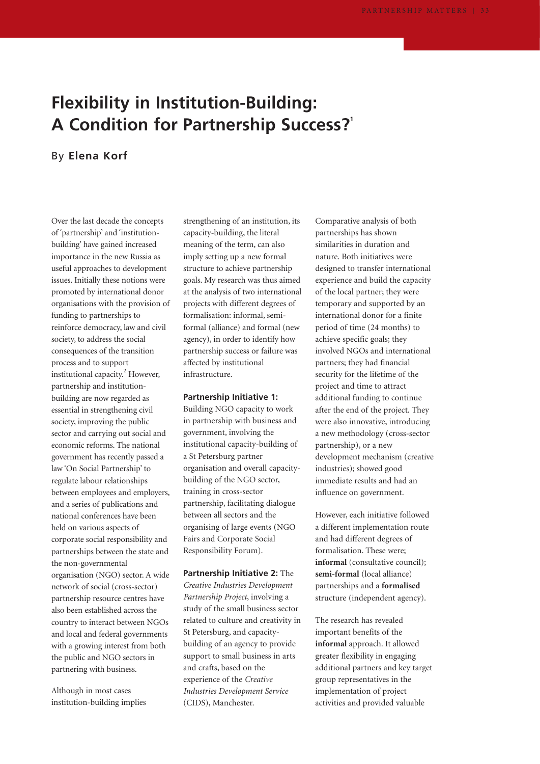# **Flexibility in Institution-Building: A Condition for Partnership Success?1**

## By **Elena Korf**

Over the last decade the concepts of 'partnership' and 'institutionbuilding' have gained increased importance in the new Russia as useful approaches to development issues. Initially these notions were promoted by international donor organisations with the provision of funding to partnerships to reinforce democracy, law and civil society, to address the social consequences of the transition process and to support institutional capacity. $^{2}$  However, partnership and institutionbuilding are now regarded as essential in strengthening civil society, improving the public sector and carrying out social and economic reforms. The national government has recently passed a law 'On Social Partnership' to regulate labour relationships between employees and employers, and a series of publications and national conferences have been held on various aspects of corporate social responsibility and partnerships between the state and the non-governmental organisation (NGO) sector. A wide network of social (cross-sector) partnership resource centres have also been established across the country to interact between NGOs and local and federal governments with a growing interest from both the public and NGO sectors in partnering with business.

Although in most cases institution-building implies strengthening of an institution, its capacity-building, the literal meaning of the term, can also imply setting up a new formal structure to achieve partnership goals. My research was thus aimed at the analysis of two international projects with different degrees of formalisation: informal, semiformal (alliance) and formal (new agency), in order to identify how partnership success or failure was affected by institutional infrastructure.

#### **Partnership Initiative 1:**

Building NGO capacity to work in partnership with business and government, involving the institutional capacity-building of a St Petersburg partner organisation and overall capacitybuilding of the NGO sector, training in cross-sector partnership, facilitating dialogue between all sectors and the organising of large events (NGO Fairs and Corporate Social Responsibility Forum).

**Partnership Initiative 2:** The *Creative Industries Development Partnership Project*, involving a study of the small business sector related to culture and creativity in St Petersburg, and capacitybuilding of an agency to provide support to small business in arts and crafts, based on the experience of the *Creative Industries Development Service* (CIDS), Manchester.

Comparative analysis of both partnerships has shown similarities in duration and nature. Both initiatives were designed to transfer international experience and build the capacity of the local partner; they were temporary and supported by an international donor for a finite period of time (24 months) to achieve specific goals; they involved NGOs and international partners; they had financial security for the lifetime of the project and time to attract additional funding to continue after the end of the project. They were also innovative, introducing a new methodology (cross-sector partnership), or a new development mechanism (creative industries); showed good immediate results and had an influence on government.

However, each initiative followed a different implementation route and had different degrees of formalisation. These were; **informal** (consultative council); **semi-formal** (local alliance) partnerships and a **formalised** structure (independent agency).

The research has revealed important benefits of the **informal** approach. It allowed greater flexibility in engaging additional partners and key target group representatives in the implementation of project activities and provided valuable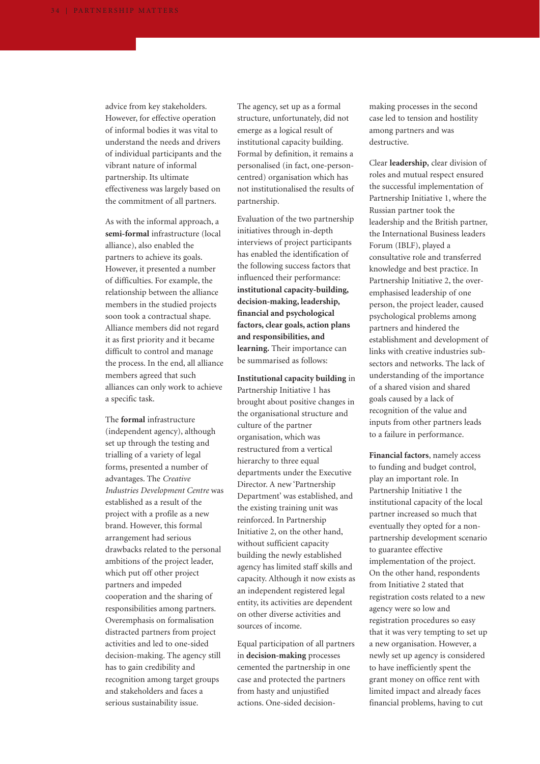advice from key stakeholders. However, for effective operation of informal bodies it was vital to understand the needs and drivers of individual participants and the vibrant nature of informal partnership. Its ultimate effectiveness was largely based on the commitment of all partners.

As with the informal approach, a **semi-formal** infrastructure (local alliance), also enabled the partners to achieve its goals. However, it presented a number of difficulties. For example, the relationship between the alliance members in the studied projects soon took a contractual shape. Alliance members did not regard it as first priority and it became difficult to control and manage the process. In the end, all alliance members agreed that such alliances can only work to achieve a specific task.

The **formal** infrastructure (independent agency), although set up through the testing and trialling of a variety of legal forms, presented a number of advantages. The *Creative Industries Development Centre* was established as a result of the project with a profile as a new brand. However, this formal arrangement had serious drawbacks related to the personal ambitions of the project leader, which put off other project partners and impeded cooperation and the sharing of responsibilities among partners. Overemphasis on formalisation distracted partners from project activities and led to one-sided decision-making. The agency still has to gain credibility and recognition among target groups and stakeholders and faces a serious sustainability issue.

The agency, set up as a formal structure, unfortunately, did not emerge as a logical result of institutional capacity building. Formal by definition, it remains a personalised (in fact, one-personcentred) organisation which has not institutionalised the results of partnership.

Evaluation of the two partnership initiatives through in-depth interviews of project participants has enabled the identification of the following success factors that influenced their performance: **institutional capacity-building, decision-making, leadership, financial and psychological factors, clear goals, action plans and responsibilities, and learning.** Their importance can be summarised as follows:

**Institutional capacity building** in Partnership Initiative 1 has brought about positive changes in the organisational structure and culture of the partner organisation, which was restructured from a vertical hierarchy to three equal departments under the Executive Director. A new 'Partnership Department' was established, and the existing training unit was reinforced. In Partnership Initiative 2, on the other hand, without sufficient capacity building the newly established agency has limited staff skills and capacity. Although it now exists as an independent registered legal entity, its activities are dependent on other diverse activities and sources of income.

Equal participation of all partners in **decision-making** processes cemented the partnership in one case and protected the partners from hasty and unjustified actions. One-sided decisionmaking processes in the second case led to tension and hostility among partners and was destructive.

Clear **leadership,** clear division of roles and mutual respect ensured the successful implementation of Partnership Initiative 1, where the Russian partner took the leadership and the British partner, the International Business leaders Forum (IBLF), played a consultative role and transferred knowledge and best practice. In Partnership Initiative 2, the overemphasised leadership of one person, the project leader, caused psychological problems among partners and hindered the establishment and development of links with creative industries subsectors and networks. The lack of understanding of the importance of a shared vision and shared goals caused by a lack of recognition of the value and inputs from other partners leads to a failure in performance.

**Financial factors**, namely access to funding and budget control, play an important role. In Partnership Initiative 1 the institutional capacity of the local partner increased so much that eventually they opted for a nonpartnership development scenario to guarantee effective implementation of the project. On the other hand, respondents from Initiative 2 stated that registration costs related to a new agency were so low and registration procedures so easy that it was very tempting to set up a new organisation. However, a newly set up agency is considered to have inefficiently spent the grant money on office rent with limited impact and already faces financial problems, having to cut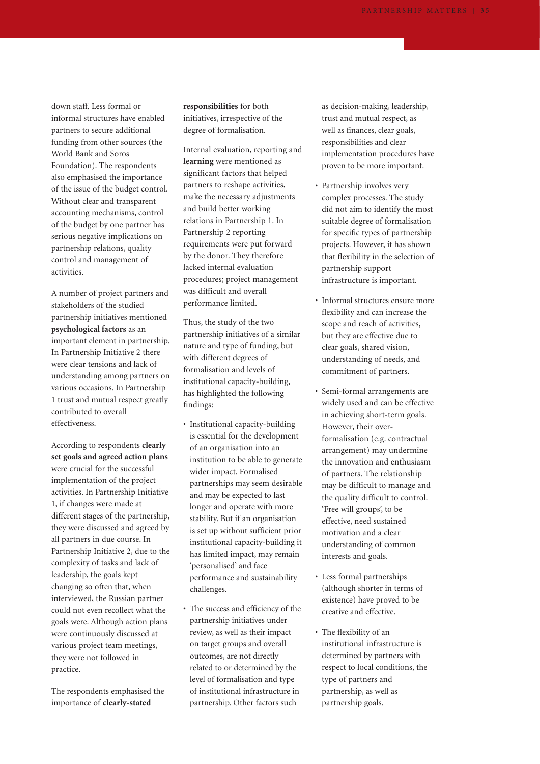down staff. Less formal or informal structures have enabled partners to secure additional funding from other sources (the World Bank and Soros Foundation). The respondents also emphasised the importance of the issue of the budget control. Without clear and transparent accounting mechanisms, control of the budget by one partner has serious negative implications on partnership relations, quality control and management of activities.

A number of project partners and stakeholders of the studied partnership initiatives mentioned **psychological factors** as an important element in partnership. In Partnership Initiative 2 there were clear tensions and lack of understanding among partners on various occasions. In Partnership 1 trust and mutual respect greatly contributed to overall effectiveness.

According to respondents **clearly set goals and agreed action plans** were crucial for the successful implementation of the project activities. In Partnership Initiative 1, if changes were made at different stages of the partnership, they were discussed and agreed by all partners in due course. In Partnership Initiative 2, due to the complexity of tasks and lack of leadership, the goals kept changing so often that, when interviewed, the Russian partner could not even recollect what the goals were. Although action plans were continuously discussed at various project team meetings, they were not followed in practice.

The respondents emphasised the importance of **clearly-stated**

**responsibilities** for both initiatives, irrespective of the degree of formalisation.

Internal evaluation, reporting and **learning** were mentioned as significant factors that helped partners to reshape activities, make the necessary adjustments and build better working relations in Partnership 1. In Partnership 2 reporting requirements were put forward by the donor. They therefore lacked internal evaluation procedures; project management was difficult and overall performance limited.

Thus, the study of the two partnership initiatives of a similar nature and type of funding, but with different degrees of formalisation and levels of institutional capacity-building, has highlighted the following findings:

- Institutional capacity-building is essential for the development of an organisation into an institution to be able to generate wider impact. Formalised partnerships may seem desirable and may be expected to last longer and operate with more stability. But if an organisation is set up without sufficient prior institutional capacity-building it has limited impact, may remain 'personalised' and face performance and sustainability challenges.
- The success and efficiency of the partnership initiatives under review, as well as their impact on target groups and overall outcomes, are not directly related to or determined by the level of formalisation and type of institutional infrastructure in partnership. Other factors such

as decision-making, leadership, trust and mutual respect, as well as finances, clear goals, responsibilities and clear implementation procedures have proven to be more important.

- Partnership involves very complex processes. The study did not aim to identify the most suitable degree of formalisation for specific types of partnership projects. However, it has shown that flexibility in the selection of partnership support infrastructure is important.
- Informal structures ensure more flexibility and can increase the scope and reach of activities, but they are effective due to clear goals, shared vision, understanding of needs, and commitment of partners.
- Semi-formal arrangements are widely used and can be effective in achieving short-term goals. However, their overformalisation (e.g. contractual arrangement) may undermine the innovation and enthusiasm of partners. The relationship may be difficult to manage and the quality difficult to control. 'Free will groups', to be effective, need sustained motivation and a clear understanding of common interests and goals.
- Less formal partnerships (although shorter in terms of existence) have proved to be creative and effective.
- The flexibility of an institutional infrastructure is determined by partners with respect to local conditions, the type of partners and partnership, as well as partnership goals.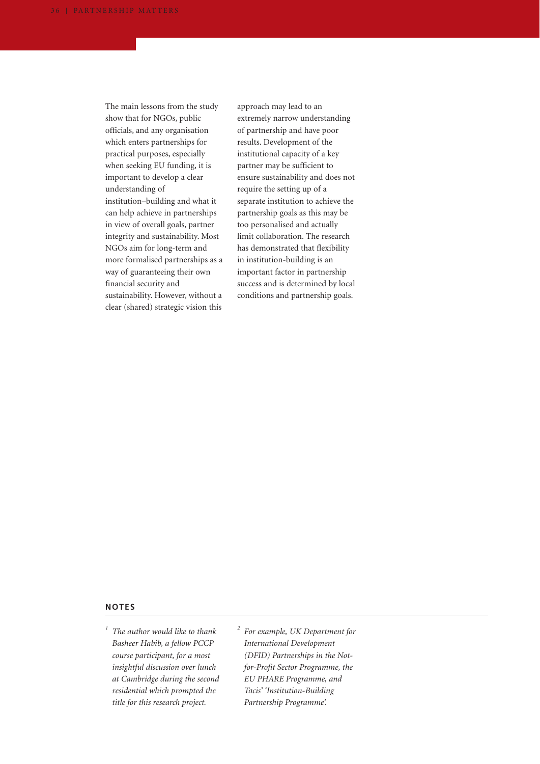The main lessons from the study show that for NGOs, public officials, and any organisation which enters partnerships for practical purposes, especially when seeking EU funding, it is important to develop a clear understanding of institution–building and what it can help achieve in partnerships in view of overall goals, partner integrity and sustainability. Most NGOs aim for long-term and more formalised partnerships as a way of guaranteeing their own financial security and sustainability. However, without a clear (shared) strategic vision this

approach may lead to an extremely narrow understanding of partnership and have poor results. Development of the institutional capacity of a key partner may be sufficient to ensure sustainability and does not require the setting up of a separate institution to achieve the partnership goals as this may be too personalised and actually limit collaboration. The research has demonstrated that flexibility in institution-building is an important factor in partnership success and is determined by local conditions and partnership goals.

## **NOTES**

*<sup>1</sup> The author would like to thank Basheer Habib, a fellow PCCP course participant, for a most insightful discussion over lunch at Cambridge during the second residential which prompted the title for this research project.*

*<sup>2</sup> For example, UK Department for International Development (DFID) Partnerships in the Notfor-Profit Sector Programme, the EU PHARE Programme, and Tacis' 'Institution-Building Partnership Programme'.*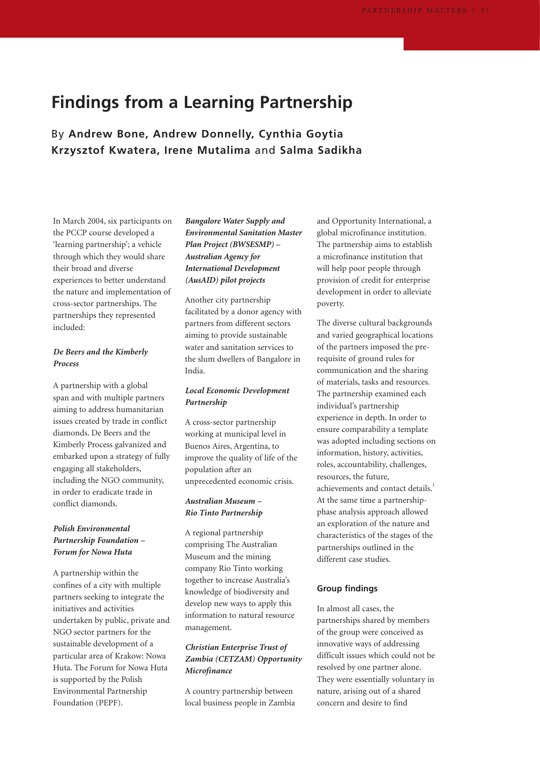## **Findings from a Learning Partnership**

By **Andrew Bone, Andrew Donnelly, Cynthia Goytia Krzysztof Kwatera, Irene Mutalima** and **Salma Sadikha**

In March 2004, six participants on the PCCP course developed a 'learning partnership'; a vehicle through which they would share their broad and diverse experiences to better understand the nature and implementation of cross-sector partnerships. The partnerships they represented included:

## *De Beers and the Kimberly Process*

A partnership with a global span and with multiple partners aiming to address humanitarian issues created by trade in conflict diamonds. De Beers and the Kimberly Process galvanized and embarked upon a strategy of fully engaging all stakeholders, including the NGO community, in order to eradicate trade in conflict diamonds.

### *Polish Environmental Partnership Foundation – Forum for Nowa Huta*

A partnership within the confines of a city with multiple partners seeking to integrate the initiatives and activities undertaken by public, private and NGO sector partners for the sustainable development of a particular area of Krakow: Nowa Huta. The Forum for Nowa Huta is supported by the Polish Environmental Partnership Foundation (PEPF).

## *Bangalore Water Supply and Environmental Sanitation Master Plan Project (BWSESMP) – Australian Agency for International Development (AusAID) pilot projects*

Another city partnership facilitated by a donor agency with partners from different sectors aiming to provide sustainable water and sanitation services to the slum dwellers of Bangalore in India.

### *Local Economic Development Partnership*

A cross-sector partnership working at municipal level in Buenos Aires, Argentina, to improve the quality of life of the population after an unprecedented economic crisis.

#### *Australian Museum – Rio Tinto Partnership*

A regional partnership comprising The Australian Museum and the mining company Rio Tinto working together to increase Australia's knowledge of biodiversity and develop new ways to apply this information to natural resource management.

### *Christian Enterprise Trust of Zambia (CETZAM) Opportunity Microfinance*

A country partnership between local business people in Zambia and Opportunity International, a global microfinance institution. The partnership aims to establish a microfinance institution that will help poor people through provision of credit for enterprise development in order to alleviate poverty.

The diverse cultural backgrounds and varied geographical locations of the partners imposed the prerequisite of ground rules for communication and the sharing of materials, tasks and resources. The partnership examined each individual's partnership experience in depth. In order to ensure comparability a template was adopted including sections on information, history, activities, roles, accountability, challenges, resources, the future, achievements and contact details.<sup>1</sup> At the same time a partnershipphase analysis approach allowed an exploration of the nature and characteristics of the stages of the partnerships outlined in the different case studies.

#### **Group findings**

In almost all cases, the partnerships shared by members of the group were conceived as innovative ways of addressing difficult issues which could not be resolved by one partner alone. They were essentially voluntary in nature, arising out of a shared concern and desire to find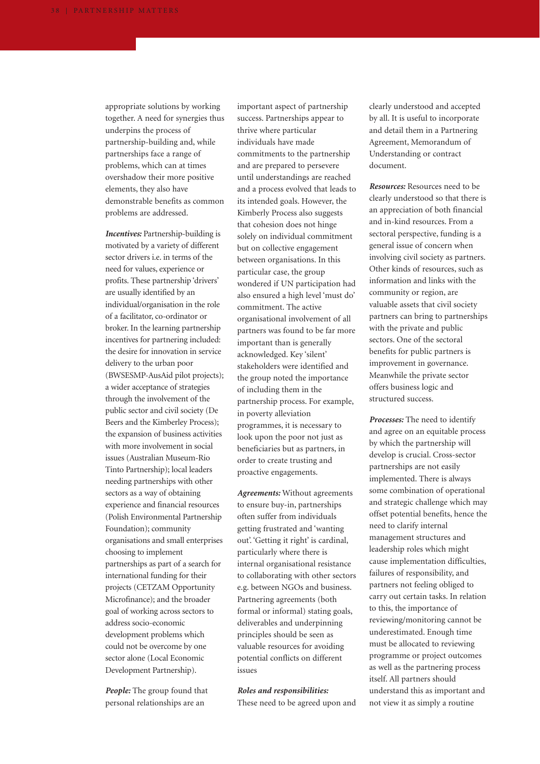appropriate solutions by working together. A need for synergies thus underpins the process of partnership-building and, while partnerships face a range of problems, which can at times overshadow their more positive elements, they also have demonstrable benefits as common problems are addressed.

*Incentives:* Partnership-building is motivated by a variety of different sector drivers i.e. in terms of the need for values, experience or profits. These partnership 'drivers' are usually identified by an individual/organisation in the role of a facilitator, co-ordinator or broker. In the learning partnership incentives for partnering included: the desire for innovation in service delivery to the urban poor (BWSESMP-AusAid pilot projects); a wider acceptance of strategies through the involvement of the public sector and civil society (De Beers and the Kimberley Process); the expansion of business activities with more involvement in social issues (Australian Museum-Rio Tinto Partnership); local leaders needing partnerships with other sectors as a way of obtaining experience and financial resources (Polish Environmental Partnership Foundation); community organisations and small enterprises choosing to implement partnerships as part of a search for international funding for their projects (CETZAM Opportunity Microfinance); and the broader goal of working across sectors to address socio-economic development problems which could not be overcome by one sector alone (Local Economic Development Partnership).

*People:* The group found that personal relationships are an

important aspect of partnership success. Partnerships appear to thrive where particular individuals have made commitments to the partnership and are prepared to persevere until understandings are reached and a process evolved that leads to its intended goals. However, the Kimberly Process also suggests that cohesion does not hinge solely on individual commitment but on collective engagement between organisations. In this particular case, the group wondered if UN participation had also ensured a high level 'must do' commitment. The active organisational involvement of all partners was found to be far more important than is generally acknowledged. Key 'silent' stakeholders were identified and the group noted the importance of including them in the partnership process. For example, in poverty alleviation programmes, it is necessary to look upon the poor not just as beneficiaries but as partners, in order to create trusting and proactive engagements.

*Agreements:* Without agreements to ensure buy-in, partnerships often suffer from individuals getting frustrated and 'wanting out'. 'Getting it right' is cardinal, particularly where there is internal organisational resistance to collaborating with other sectors e.g. between NGOs and business. Partnering agreements (both formal or informal) stating goals, deliverables and underpinning principles should be seen as valuable resources for avoiding potential conflicts on different issues

*Roles and responsibilities:* These need to be agreed upon and clearly understood and accepted by all. It is useful to incorporate and detail them in a Partnering Agreement, Memorandum of Understanding or contract document.

*Resources:* Resources need to be clearly understood so that there is an appreciation of both financial and in-kind resources. From a sectoral perspective, funding is a general issue of concern when involving civil society as partners. Other kinds of resources, such as information and links with the community or region, are valuable assets that civil society partners can bring to partnerships with the private and public sectors. One of the sectoral benefits for public partners is improvement in governance. Meanwhile the private sector offers business logic and structured success.

*Processes:* The need to identify and agree on an equitable process by which the partnership will develop is crucial. Cross-sector partnerships are not easily implemented. There is always some combination of operational and strategic challenge which may offset potential benefits, hence the need to clarify internal management structures and leadership roles which might cause implementation difficulties, failures of responsibility, and partners not feeling obliged to carry out certain tasks. In relation to this, the importance of reviewing/monitoring cannot be underestimated. Enough time must be allocated to reviewing programme or project outcomes as well as the partnering process itself. All partners should understand this as important and not view it as simply a routine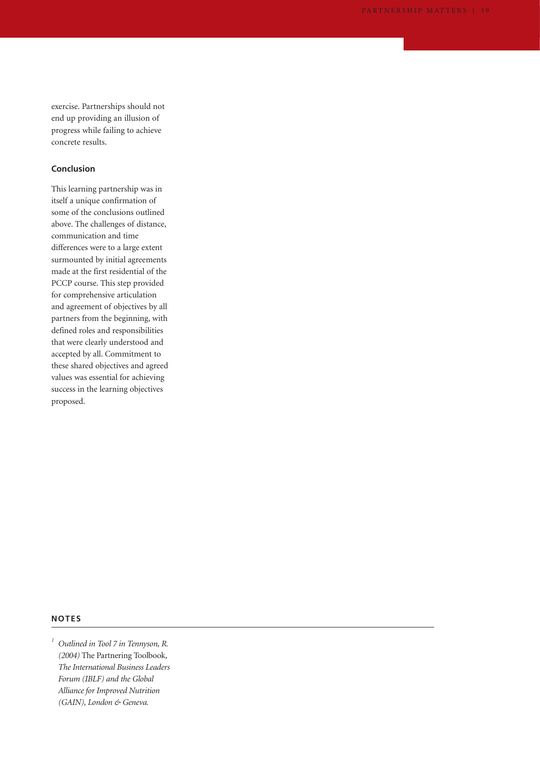exercise. Partnerships should not end up providing an illusion of progress while failing to achieve concrete results.

### **Conclusion**

This learning partnership was in itself a unique confirmation of some of the conclusions outlined above. The challenges of distance, communication and time differences were to a large extent surmounted by initial agreements made at the first residential of the PCCP course. This step provided for comprehensive articulation and agreement of objectives by all partners from the beginning, with defined roles and responsibilities that were clearly understood and accepted by all. Commitment to these shared objectives and agreed values was essential for achieving success in the learning objectives proposed.

#### **NOTES**

*<sup>1</sup> Outlined in Tool 7 in Tennyson, R. (2004)* The Partnering Toolbook*, The International Business Leaders Forum (IBLF) and the Global Alliance for Improved Nutrition (GAIN), London & Geneva.*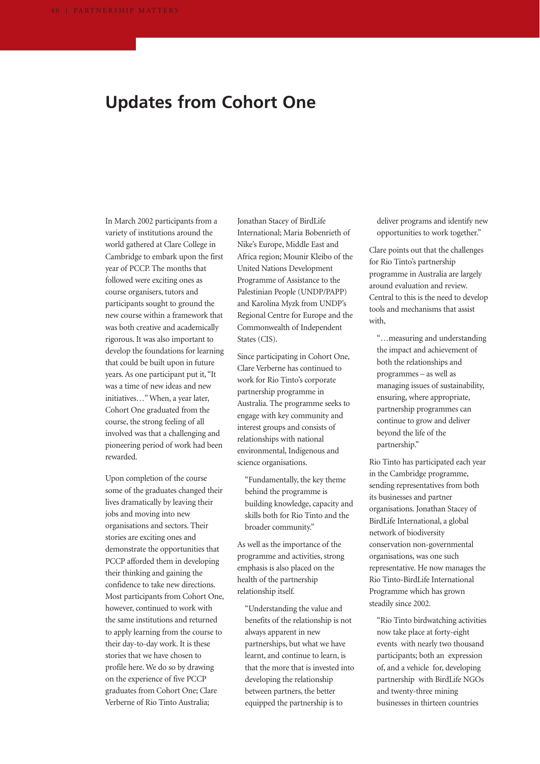## **Updates from Cohort One**

In March 2002 participants from a variety of institutions around the world gathered at Clare College in Cambridge to embark upon the first year of PCCP. The months that followed were exciting ones as course organisers, tutors and participants sought to ground the new course within a framework that was both creative and academically rigorous. It was also important to develop the foundations for learning that could be built upon in future years. As one participant put it, "It was a time of new ideas and new initiatives…" When, a year later, Cohort One graduated from the course, the strong feeling of all involved was that a challenging and pioneering period of work had been rewarded.

Upon completion of the course some of the graduates changed their lives dramatically by leaving their jobs and moving into new organisations and sectors. Their stories are exciting ones and demonstrate the opportunities that PCCP afforded them in developing their thinking and gaining the confidence to take new directions. Most participants from Cohort One, however, continued to work with the same institutions and returned to apply learning from the course to their day-to-day work. It is these stories that we have chosen to profile here. We do so by drawing on the experience of five PCCP graduates from Cohort One; Clare Verberne of Rio Tinto Australia;

Jonathan Stacey of BirdLife International; Maria Bobenrieth of Nike's Europe, Middle East and Africa region; Mounir Kleibo of the United Nations Development Programme of Assistance to the Palestinian People (UNDP/PAPP) and Karolina Myzk from UNDP's Regional Centre for Europe and the Commonwealth of Independent States (CIS).

Since participating in Cohort One, Clare Verberne has continued to work for Rio Tinto's corporate partnership programme in Australia. The programme seeks to engage with key community and interest groups and consists of relationships with national environmental, Indigenous and science organisations.

"Fundamentally, the key theme behind the programme is building knowledge, capacity and skills both for Rio Tinto and the broader community."

As well as the importance of the programme and activities, strong emphasis is also placed on the health of the partnership relationship itself.

"Understanding the value and benefits of the relationship is not always apparent in new partnerships, but what we have learnt, and continue to learn, is that the more that is invested into developing the relationship between partners, the better equipped the partnership is to

deliver programs and identify new opportunities to work together."

Clare points out that the challenges for Rio Tinto's partnership programme in Australia are largely around evaluation and review. Central to this is the need to develop tools and mechanisms that assist with,

"…measuring and understanding the impact and achievement of both the relationships and programmes – as well as managing issues of sustainability, ensuring, where appropriate, partnership programmes can continue to grow and deliver beyond the life of the partnership."

Rio Tinto has participated each year in the Cambridge programme, sending representatives from both its businesses and partner organisations. Jonathan Stacey of BirdLife International, a global network of biodiversity conservation non-governmental organisations, was one such representative. He now manages the Rio Tinto-BirdLife International Programme which has grown steadily since 2002.

"Rio Tinto birdwatching activities now take place at forty-eight events with nearly two thousand participants; both an expression of, and a vehicle for, developing partnership with BirdLife NGOs and twenty-three mining businesses in thirteen countries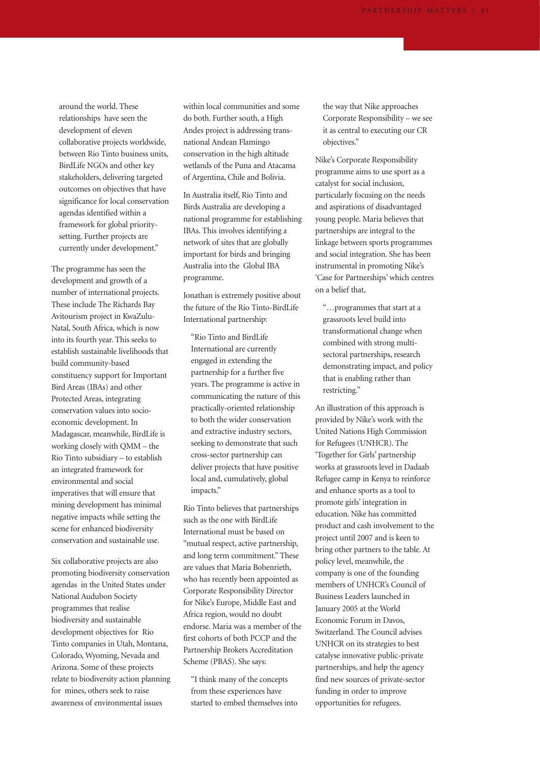around the world. These relationships have seen the development of eleven collaborative projects worldwide, between Rio Tinto business units, BirdLife NGOs and other key stakeholders, delivering targeted outcomes on objectives that have significance for local conservation agendas identified within a framework for global prioritysetting. Further projects are currently under development."

The programme has seen the development and growth of a number of international projects. These include The Richards Bay Avitourism project in KwaZulu-Natal, South Africa, which is now into its fourth year. This seeks to establish sustainable livelihoods that build community-based constituency support for Important Bird Areas (IBAs) and other Protected Areas, integrating conservation values into socioeconomic development. In Madagascar, meanwhile, BirdLife is working closely with QMM – the Rio Tinto subsidiary – to establish an integrated framework for environmental and social imperatives that will ensure that mining development has minimal negative impacts while setting the scene for enhanced biodiversity conservation and sustainable use.

Six collaborative projects are also promoting biodiversity conservation agendas in the United States under National Audubon Society programmes that realise biodiversity and sustainable development objectives for Rio Tinto companies in Utah, Montana, Colorado, Wyoming, Nevada and Arizona. Some of these projects relate to biodiversity action planning for mines, others seek to raise awareness of environmental issues

within local communities and some do both. Further south, a High Andes project is addressing transnational Andean Flamingo conservation in the high altitude wetlands of the Puna and Atacama of Argentina, Chile and Bolivia.

In Australia itself, Rio Tinto and Birds Australia are developing a national programme for establishing IBAs. This involves identifying a network of sites that are globally important for birds and bringing Australia into the Global IBA programme.

Jonathan is extremely positive about the future of the Rio Tinto-BirdLife International partnership:

"Rio Tinto and BirdLife International are currently engaged in extending the partnership for a further five years. The programme is active in communicating the nature of this practically-oriented relationship to both the wider conservation and extractive industry sectors, seeking to demonstrate that such cross-sector partnership can deliver projects that have positive local and, cumulatively, global impacts."

Rio Tinto believes that partnerships such as the one with BirdLife International must be based on "mutual respect, active partnership, and long term commitment." These are values that Maria Bobenrieth, who has recently been appointed as Corporate Responsibility Director for Nike's Europe, Middle East and Africa region, would no doubt endorse. Maria was a member of the first cohorts of both PCCP and the Partnership Brokers Accreditation Scheme (PBAS). She says:

"I think many of the concepts from these experiences have started to embed themselves into the way that Nike approaches Corporate Responsibility – we see it as central to executing our CR objectives."

Nike's Corporate Responsibility programme aims to use sport as a catalyst for social inclusion, particularly focusing on the needs and aspirations of disadvantaged young people. Maria believes that partnerships are integral to the linkage between sports programmes and social integration. She has been instrumental in promoting Nike's 'Case for Partnerships' which centres on a belief that,

"…programmes that start at a grassroots level build into transformational change when combined with strong multisectoral partnerships, research demonstrating impact, and policy that is enabling rather than restricting."

An illustration of this approach is provided by Nike's work with the United Nations High Commission for Refugees (UNHCR). The 'Together for Girls' partnership works at grassroots level in Dadaab Refugee camp in Kenya to reinforce and enhance sports as a tool to promote girls' integration in education. Nike has committed product and cash involvement to the project until 2007 and is keen to bring other partners to the table. At policy level, meanwhile, the company is one of the founding members of UNHCR's Council of Business Leaders launched in January 2005 at the World Economic Forum in Davos, Switzerland. The Council advises UNHCR on its strategies to best catalyse innovative public-private partnerships, and help the agency find new sources of private-sector funding in order to improve opportunities for refugees.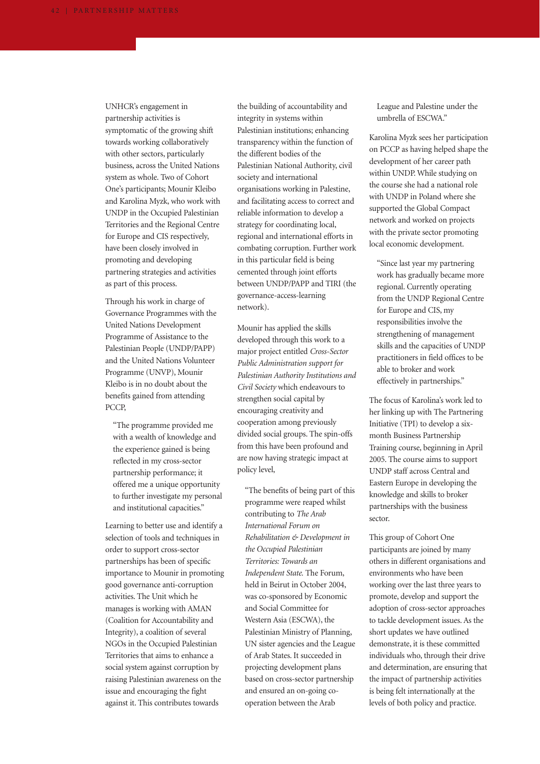UNHCR's engagement in partnership activities is symptomatic of the growing shift towards working collaboratively with other sectors, particularly business, across the United Nations system as whole. Two of Cohort One's participants; Mounir Kleibo and Karolina Myzk, who work with UNDP in the Occupied Palestinian Territories and the Regional Centre for Europe and CIS respectively, have been closely involved in promoting and developing partnering strategies and activities as part of this process.

Through his work in charge of Governance Programmes with the United Nations Development Programme of Assistance to the Palestinian People (UNDP/PAPP) and the United Nations Volunteer Programme (UNVP), Mounir Kleibo is in no doubt about the benefits gained from attending PCCP,

"The programme provided me with a wealth of knowledge and the experience gained is being reflected in my cross-sector partnership performance; it offered me a unique opportunity to further investigate my personal and institutional capacities."

Learning to better use and identify a selection of tools and techniques in order to support cross-sector partnerships has been of specific importance to Mounir in promoting good governance anti-corruption activities. The Unit which he manages is working with AMAN (Coalition for Accountability and Integrity), a coalition of several NGOs in the Occupied Palestinian Territories that aims to enhance a social system against corruption by raising Palestinian awareness on the issue and encouraging the fight against it. This contributes towards

the building of accountability and integrity in systems within Palestinian institutions; enhancing transparency within the function of the different bodies of the Palestinian National Authority, civil society and international organisations working in Palestine, and facilitating access to correct and reliable information to develop a strategy for coordinating local, regional and international efforts in combating corruption. Further work in this particular field is being cemented through joint efforts between UNDP/PAPP and TIRI (the governance-access-learning network).

Mounir has applied the skills developed through this work to a major project entitled *Cross-Sector Public Administration support for Palestinian Authority Institutions and Civil Society* which endeavours to strengthen social capital by encouraging creativity and cooperation among previously divided social groups. The spin-offs from this have been profound and are now having strategic impact at policy level,

"The benefits of being part of this programme were reaped whilst contributing to *The Arab International Forum on Rehabilitation & Development in the Occupied Palestinian Territories: Towards an Independent State.* The Forum, held in Beirut in October 2004, was co-sponsored by Economic and Social Committee for Western Asia (ESCWA), the Palestinian Ministry of Planning, UN sister agencies and the League of Arab States. It succeeded in projecting development plans based on cross-sector partnership and ensured an on-going cooperation between the Arab

League and Palestine under the umbrella of ESCWA."

Karolina Myzk sees her participation on PCCP as having helped shape the development of her career path within UNDP. While studying on the course she had a national role with UNDP in Poland where she supported the Global Compact network and worked on projects with the private sector promoting local economic development.

"Since last year my partnering work has gradually became more regional. Currently operating from the UNDP Regional Centre for Europe and CIS, my responsibilities involve the strengthening of management skills and the capacities of UNDP practitioners in field offices to be able to broker and work effectively in partnerships."

The focus of Karolina's work led to her linking up with The Partnering Initiative (TPI) to develop a sixmonth Business Partnership Training course, beginning in April 2005. The course aims to support UNDP staff across Central and Eastern Europe in developing the knowledge and skills to broker partnerships with the business sector.

This group of Cohort One participants are joined by many others in different organisations and environments who have been working over the last three years to promote, develop and support the adoption of cross-sector approaches to tackle development issues. As the short updates we have outlined demonstrate, it is these committed individuals who, through their drive and determination, are ensuring that the impact of partnership activities is being felt internationally at the levels of both policy and practice.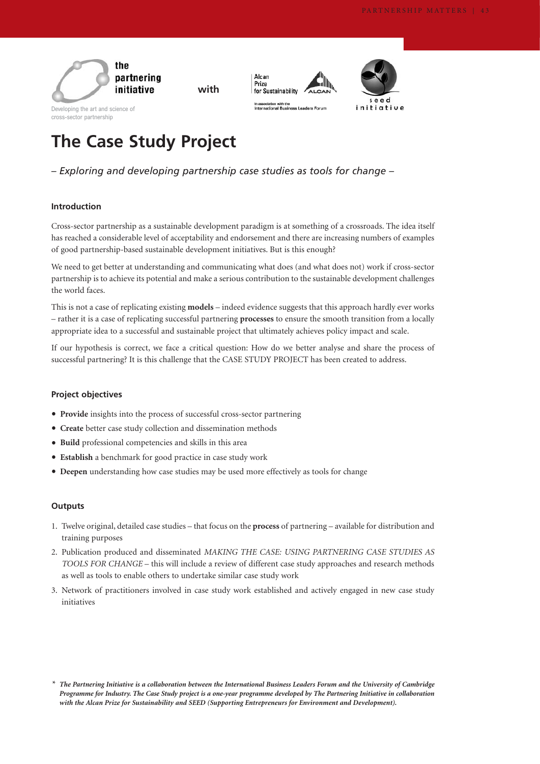

**with**



In association with the<br>International Business ers Forum

Alcan Prize



cross-sector partnership

# **The Case Study Project**

## *– Exploring and developing partnership case studies as tools for change –*

#### **Introduction**

Cross-sector partnership as a sustainable development paradigm is at something of a crossroads. The idea itself has reached a considerable level of acceptability and endorsement and there are increasing numbers of examples of good partnership-based sustainable development initiatives. But is this enough?

We need to get better at understanding and communicating what does (and what does not) work if cross-sector partnership is to achieve its potential and make a serious contribution to the sustainable development challenges the world faces.

This is not a case of replicating existing **models** – indeed evidence suggests that this approach hardly ever works – rather it is a case of replicating successful partnering **processes** to ensure the smooth transition from a locally appropriate idea to a successful and sustainable project that ultimately achieves policy impact and scale.

If our hypothesis is correct, we face a critical question: How do we better analyse and share the process of successful partnering? It is this challenge that the CASE STUDY PROJECT has been created to address.

#### **Project objectives**

- **Provide** insights into the process of successful cross-sector partnering
- **Create** better case study collection and dissemination methods
- **Build** professional competencies and skills in this area
- **Establish** a benchmark for good practice in case study work
- **Deepen** understanding how case studies may be used more effectively as tools for change

#### **Outputs**

- 1. Twelve original, detailed case studies that focus on the **process** of partnering available for distribution and training purposes
- 2. Publication produced and disseminated *MAKING THE CASE: USING PARTNERING CASE STUDIES AS TOOLS FOR CHANGE* – this will include a review of different case study approaches and research methods as well as tools to enable others to undertake similar case study work
- 3. Network of practitioners involved in case study work established and actively engaged in new case study initiatives

*<sup>\*</sup> The Partnering Initiative is a collaboration between the International Business Leaders Forum and the University of Cambridge Programme for Industry. The Case Study project is a one-year programme developed by The Partnering Initiative in collaboration with the Alcan Prize for Sustainability and SEED (Supporting Entrepreneurs for Environment and Development).*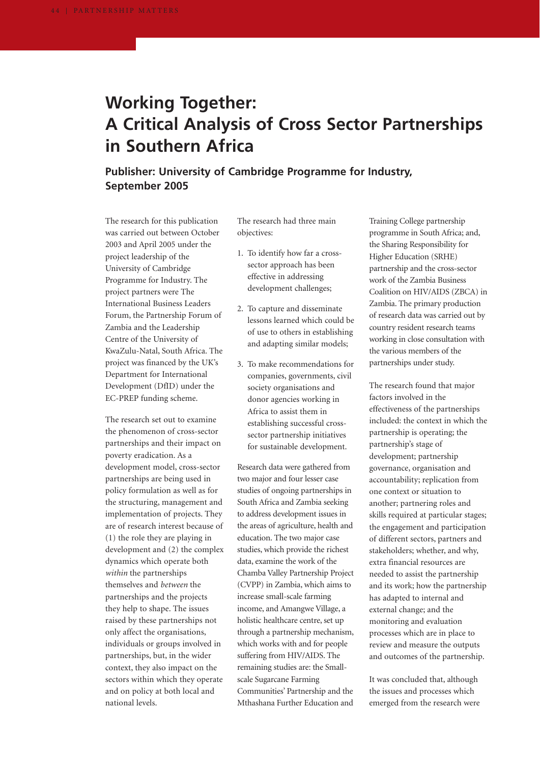# **Working Together: A Critical Analysis of Cross Sector Partnerships in Southern Africa**

## **Publisher: University of Cambridge Programme for Industry, September 2005**

The research for this publication was carried out between October 2003 and April 2005 under the project leadership of the University of Cambridge Programme for Industry. The project partners were The International Business Leaders Forum, the Partnership Forum of Zambia and the Leadership Centre of the University of KwaZulu-Natal, South Africa. The project was financed by the UK's Department for International Development (DfID) under the EC-PREP funding scheme.

The research set out to examine the phenomenon of cross-sector partnerships and their impact on poverty eradication. As a development model, cross-sector partnerships are being used in policy formulation as well as for the structuring, management and implementation of projects. They are of research interest because of (1) the role they are playing in development and (2) the complex dynamics which operate both *within* the partnerships themselves and *between* the partnerships and the projects they help to shape. The issues raised by these partnerships not only affect the organisations, individuals or groups involved in partnerships, but, in the wider context, they also impact on the sectors within which they operate and on policy at both local and national levels.

The research had three main objectives:

- 1. To identify how far a crosssector approach has been effective in addressing development challenges;
- 2. To capture and disseminate lessons learned which could be of use to others in establishing and adapting similar models;
- 3. To make recommendations for companies, governments, civil society organisations and donor agencies working in Africa to assist them in establishing successful crosssector partnership initiatives for sustainable development.

Research data were gathered from two major and four lesser case studies of ongoing partnerships in South Africa and Zambia seeking to address development issues in the areas of agriculture, health and education. The two major case studies, which provide the richest data, examine the work of the Chamba Valley Partnership Project (CVPP) in Zambia, which aims to increase small-scale farming income, and Amangwe Village, a holistic healthcare centre, set up through a partnership mechanism, which works with and for people suffering from HIV/AIDS. The remaining studies are: the Smallscale Sugarcane Farming Communities' Partnership and the Mthashana Further Education and Training College partnership programme in South Africa; and, the Sharing Responsibility for Higher Education (SRHE) partnership and the cross-sector work of the Zambia Business Coalition on HIV/AIDS (ZBCA) in Zambia. The primary production of research data was carried out by country resident research teams working in close consultation with the various members of the partnerships under study.

The research found that major factors involved in the effectiveness of the partnerships included: the context in which the partnership is operating; the partnership's stage of development; partnership governance, organisation and accountability; replication from one context or situation to another; partnering roles and skills required at particular stages; the engagement and participation of different sectors, partners and stakeholders; whether, and why, extra financial resources are needed to assist the partnership and its work; how the partnership has adapted to internal and external change; and the monitoring and evaluation processes which are in place to review and measure the outputs and outcomes of the partnership.

It was concluded that, although the issues and processes which emerged from the research were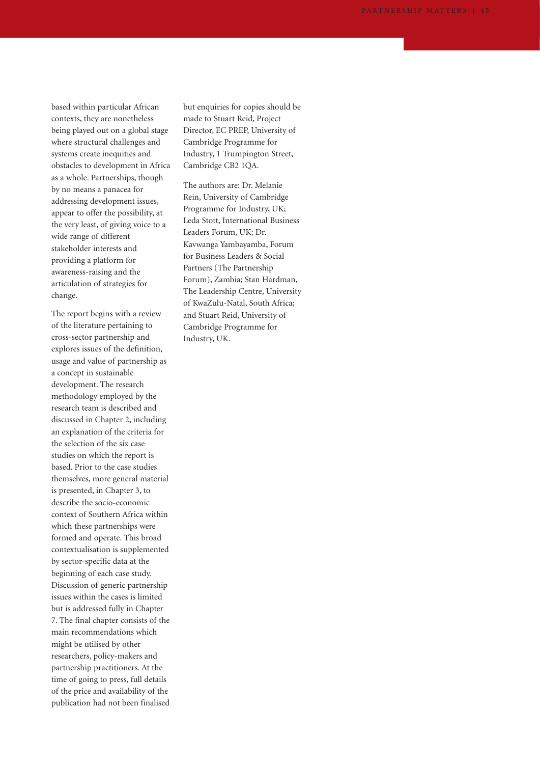based within particular African contexts, they are nonetheless being played out on a global stage where structural challenges and systems create inequities and obstacles to development in Africa as a whole. Partnerships, though by no means a panacea for addressing development issues, appear to offer the possibility, at the very least, of giving voice to a wide range of different stakeholder interests and providing a platform for awareness-raising and the articulation of strategies for change.

The report begins with a review of the literature pertaining to cross-sector partnership and explores issues of the definition, usage and value of partnership as a concept in sustainable development. The research methodology employed by the research team is described and discussed in Chapter 2, including an explanation of the criteria for the selection of the six case studies on which the report is based. Prior to the case studies themselves, more general material is presented, in Chapter 3, to describe the socio-economic context of Southern Africa within which these partnerships were formed and operate. This broad contextualisation is supplemented by sector-specific data at the beginning of each case study. Discussion of generic partnership issues within the cases is limited but is addressed fully in Chapter 7. The final chapter consists of the main recommendations which might be utilised by other researchers, policy-makers and partnership practitioners. At the time of going to press, full details of the price and availability of the publication had not been finalised

but enquiries for copies should be made to Stuart Reid, Project Director, EC PREP, University of Cambridge Programme for Industry, 1 Trumpington Street, Cambridge CB2 1QA.

The authors are: Dr. Melanie Rein, University of Cambridge Programme for Industry, UK; Leda Stott, International Business Leaders Forum, UK; Dr. Kavwanga Yambayamba, Forum for Business Leaders & Social Partners (The Partnership Forum), Zambia; Stan Hardman, The Leadership Centre, University of KwaZulu-Natal, South Africa; and Stuart Reid, University of Cambridge Programme for Industry, UK.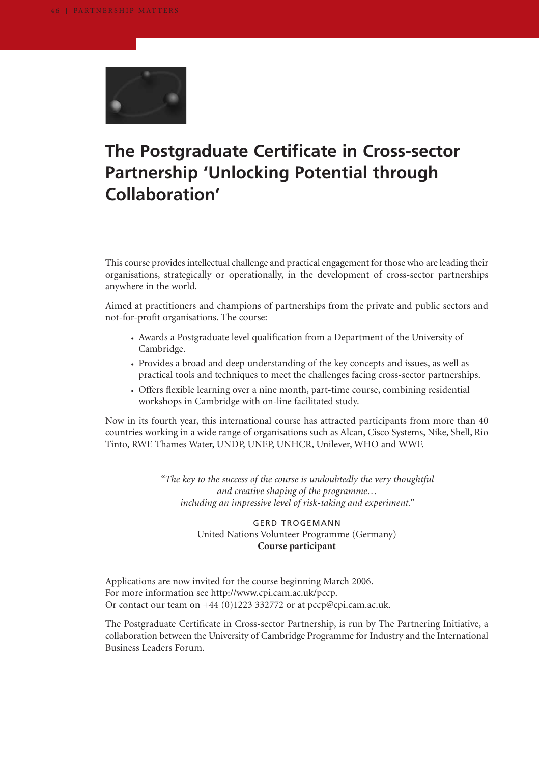

# **The Postgraduate Certificate in Cross-sector Partnership 'Unlocking Potential through Collaboration'**

This course provides intellectual challenge and practical engagement for those who are leading their organisations, strategically or operationally, in the development of cross-sector partnerships anywhere in the world.

Aimed at practitioners and champions of partnerships from the private and public sectors and not-for-profit organisations. The course:

- Awards a Postgraduate level qualification from a Department of the University of Cambridge.
- Provides a broad and deep understanding of the key concepts and issues, as well as practical tools and techniques to meet the challenges facing cross-sector partnerships.
- Offers flexible learning over a nine month, part-time course, combining residential workshops in Cambridge with on-line facilitated study.

Now in its fourth year, this international course has attracted participants from more than 40 countries working in a wide range of organisations such as Alcan, Cisco Systems, Nike, Shell, Rio Tinto, RWE Thames Water, UNDP, UNEP, UNHCR, Unilever, WHO and WWF.

> *"The key to the success of the course is undoubtedly the very thoughtful and creative shaping of the programme… including an impressive level of risk-taking and experiment."*

## GERD TROGEMANN United Nations Volunteer Programme (Germany) **Course participant**

Applications are now invited for the course beginning March 2006. For more information see http://www.cpi.cam.ac.uk/pccp. Or contact our team on +44 (0)1223 332772 or at pccp@cpi.cam.ac.uk.

The Postgraduate Certificate in Cross-sector Partnership, is run by The Partnering Initiative, a collaboration between the University of Cambridge Programme for Industry and the International Business Leaders Forum.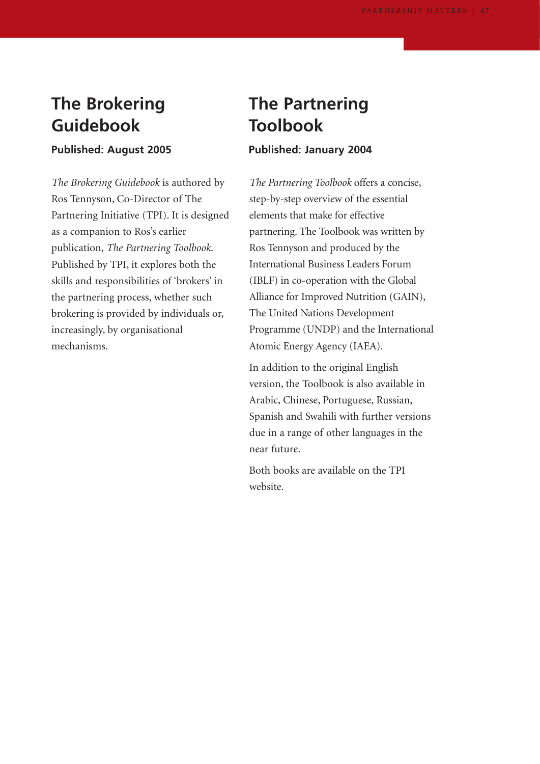# **The Brokering Guidebook**

## **Published: August 2005**

*The Brokering Guidebook* is authored by Ros Tennyson, Co-Director of The Partnering Initiative (TPI). It is designed as a companion to Ros's earlier publication, *The Partnering Toolbook*. Published by TPI, it explores both the skills and responsibilities of 'brokers' in the partnering process, whether such brokering is provided by individuals or, increasingly, by organisational mechanisms.

# **The Partnering Toolbook**

## **Published: January 2004**

*The Partnering Toolbook* offers a concise, step-by-step overview of the essential elements that make for effective partnering. The Toolbook was written by Ros Tennyson and produced by the International Business Leaders Forum (IBLF) in co-operation with the Global Alliance for Improved Nutrition (GAIN), The United Nations Development Programme (UNDP) and the International Atomic Energy Agency (IAEA).

In addition to the original English version, the Toolbook is also available in Arabic, Chinese, Portuguese, Russian, Spanish and Swahili with further versions due in a range of other languages in the near future.

Both books are available on the TPI website.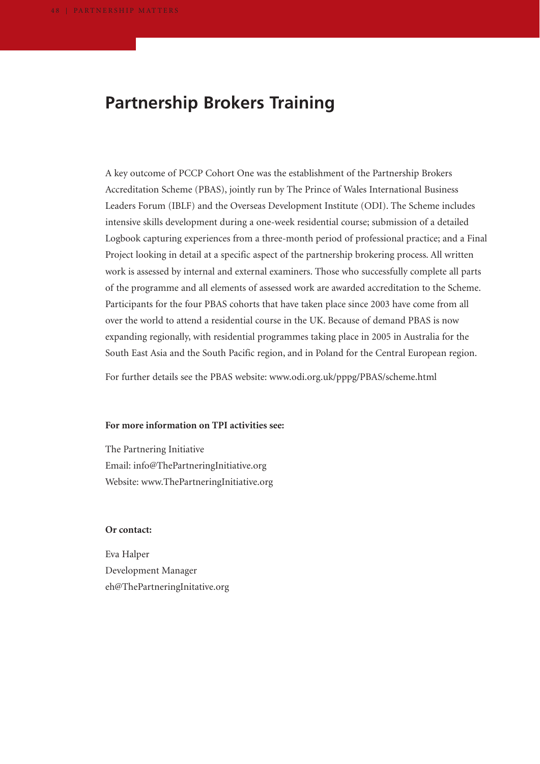## **Partnership Brokers Training**

A key outcome of PCCP Cohort One was the establishment of the Partnership Brokers Accreditation Scheme (PBAS), jointly run by The Prince of Wales International Business Leaders Forum (IBLF) and the Overseas Development Institute (ODI). The Scheme includes intensive skills development during a one-week residential course; submission of a detailed Logbook capturing experiences from a three-month period of professional practice; and a Final Project looking in detail at a specific aspect of the partnership brokering process. All written work is assessed by internal and external examiners. Those who successfully complete all parts of the programme and all elements of assessed work are awarded accreditation to the Scheme. Participants for the four PBAS cohorts that have taken place since 2003 have come from all over the world to attend a residential course in the UK. Because of demand PBAS is now expanding regionally, with residential programmes taking place in 2005 in Australia for the South East Asia and the South Pacific region, and in Poland for the Central European region.

For further details see the PBAS website: www.odi.org.uk/pppg/PBAS/scheme.html

#### **For more information on TPI activities see:**

The Partnering Initiative Email: info@ThePartneringInitiative.org Website: www.ThePartneringInitiative.org

### **Or contact:**

Eva Halper Development Manager eh@ThePartneringInitative.org